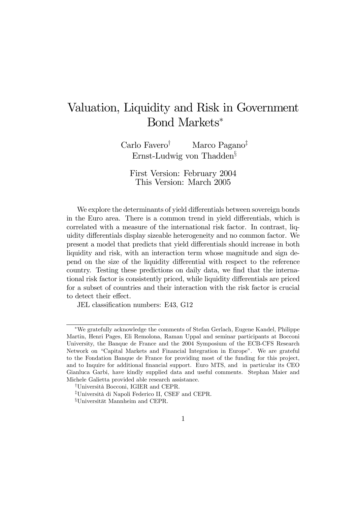# Valuation, Liquidity and Risk in Government Bond Markets<sup>∗</sup>

Carlo Favero† Marco Pagano‡ Ernst-Ludwig von Thadden§

First Version: February 2004 This Version: March 2005

We explore the determinants of yield differentials between sovereign bonds in the Euro area. There is a common trend in yield differentials, which is correlated with a measure of the international risk factor. In contrast, liquidity differentials display sizeable heterogeneity and no common factor. We present a model that predicts that yield differentials should increase in both liquidity and risk, with an interaction term whose magnitude and sign depend on the size of the liquidity differential with respect to the reference country. Testing these predictions on daily data, we find that the international risk factor is consistently priced, while liquidity differentials are priced for a subset of countries and their interaction with the risk factor is crucial to detect their effect.

JEL classification numbers: E43, G12

<sup>∗</sup>We gratefully acknowledge the comments of Stefan Gerlach, Eugene Kandel, Philippe Martin, Henri Pages, Eli Remolona, Raman Uppal and seminar participants at Bocconi University, the Banque de France and the 2004 Symposium of the ECB-CFS Research Network on "Capital Markets and Financial Integration in Europe". We are grateful to the Fondation Banque de France for providing most of the funding for this project, and to Inquire for additional financial support. Euro MTS, and in particular its CEO Gianluca Garbi, have kindly supplied data and useful comments. Stephan Maier and Michele Galietta provided able research assistance.

<sup>†</sup>Università Bocconi, IGIER and CEPR.

<sup>‡</sup>Università di Napoli Federico II, CSEF and CEPR.

<sup>§</sup>Universität Mannheim and CEPR.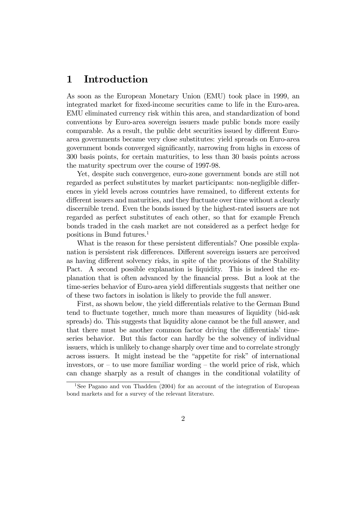### 1 Introduction

As soon as the European Monetary Union (EMU) took place in 1999, an integrated market for fixed-income securities came to life in the Euro-area. EMU eliminated currency risk within this area, and standardization of bond conventions by Euro-area sovereign issuers made public bonds more easily comparable. As a result, the public debt securities issued by different Euroarea governments became very close substitutes: yield spreads on Euro-area government bonds converged significantly, narrowing from highs in excess of 300 basis points, for certain maturities, to less than 30 basis points across the maturity spectrum over the course of 1997-98.

Yet, despite such convergence, euro-zone government bonds are still not regarded as perfect substitutes by market participants: non-negligible differences in yield levels across countries have remained, to different extents for different issuers and maturities, and they fluctuate over time without a clearly discernible trend. Even the bonds issued by the highest-rated issuers are not regarded as perfect substitutes of each other, so that for example French bonds traded in the cash market are not considered as a perfect hedge for positions in Bund futures.1

What is the reason for these persistent differentials? One possible explanation is persistent risk differences. Different sovereign issuers are perceived as having different solvency risks, in spite of the provisions of the Stability Pact. A second possible explanation is liquidity. This is indeed the explanation that is often advanced by the financial press. But a look at the time-series behavior of Euro-area yield differentials suggests that neither one of these two factors in isolation is likely to provide the full answer.

First, as shown below, the yield differentials relative to the German Bund tend to fluctuate together, much more than measures of liquidity (bid-ask spreads) do. This suggests that liquidity alone cannot be the full answer, and that there must be another common factor driving the differentials' timeseries behavior. But this factor can hardly be the solvency of individual issuers, which is unlikely to change sharply over time and to correlate strongly across issuers. It might instead be the "appetite for risk" of international investors, or  $-$  to use more familiar wording  $-$  the world price of risk, which can change sharply as a result of changes in the conditional volatility of

<sup>&</sup>lt;sup>1</sup>See Pagano and von Thadden (2004) for an account of the integration of European bond markets and for a survey of the relevant literature.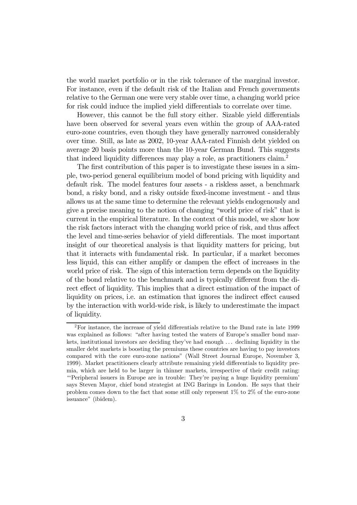the world market portfolio or in the risk tolerance of the marginal investor. For instance, even if the default risk of the Italian and French governments relative to the German one were very stable over time, a changing world price for risk could induce the implied yield differentials to correlate over time.

However, this cannot be the full story either. Sizable yield differentials have been observed for several years even within the group of AAA-rated euro-zone countries, even though they have generally narrowed considerably over time. Still, as late as 2002, 10-year AAA-rated Finnish debt yielded on average 20 basis points more than the 10-year German Bund. This suggests that indeed liquidity differences may play a role, as practitioners claim.2

The first contribution of this paper is to investigate these issues in a simple, two-period general equilibrium model of bond pricing with liquidity and default risk. The model features four assets - a riskless asset, a benchmark bond, a risky bond, and a risky outside fixed-income investment - and thus allows us at the same time to determine the relevant yields endogenously and give a precise meaning to the notion of changing "world price of risk" that is current in the empirical literature. In the context of this model, we show how the risk factors interact with the changing world price of risk, and thus affect the level and time-series behavior of yield differentials. The most important insight of our theoretical analysis is that liquidity matters for pricing, but that it interacts with fundamental risk. In particular, if a market becomes less liquid, this can either amplify or dampen the effect of increases in the world price of risk. The sign of this interaction term depends on the liquidity of the bond relative to the benchmark and is typically different from the direct effect of liquidity. This implies that a direct estimation of the impact of liquidity on prices, i.e. an estimation that ignores the indirect effect caused by the interaction with world-wide risk, is likely to underestimate the impact of liquidity.

<sup>2</sup>For instance, the increase of yield differentials relative to the Bund rate in late 1999 was explained as follows: "after having tested the waters of Europe's smaller bond markets, institutional investors are deciding they've had enough . . . declining liquidity in the smaller debt markets is boosting the premiums these countries are having to pay investors compared with the core euro-zone nations" (Wall Street Journal Europe, November 3, 1999). Market practitioners clearly attribute remaining yield differentials to liquidity premia, which are held to be larger in thinner markets, irrespective of their credit rating: "'Peripheral issuers in Europe are in trouble: They're paying a huge liquidity premium' says Steven Mayor, chief bond strategist at ING Barings in London. He says that their problem comes down to the fact that some still only represent  $1\%$  to  $2\%$  of the euro-zone issuance" (ibidem).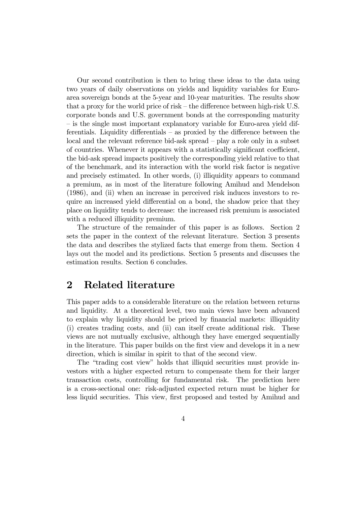Our second contribution is then to bring these ideas to the data using two years of daily observations on yields and liquidity variables for Euroarea sovereign bonds at the 5-year and 10-year maturities. The results show that a proxy for the world price of risk — the difference between high-risk U.S. corporate bonds and U.S. government bonds at the corresponding maturity — is the single most important explanatory variable for Euro-area yield differentials. Liquidity differentials — as proxied by the difference between the local and the relevant reference bid-ask spread — play a role only in a subset of countries. Whenever it appears with a statistically significant coefficient, the bid-ask spread impacts positively the corresponding yield relative to that of the benchmark, and its interaction with the world risk factor is negative and precisely estimated. In other words, (i) illiquidity appears to command a premium, as in most of the literature following Amihud and Mendelson (1986), and (ii) when an increase in perceived risk induces investors to require an increased yield differential on a bond, the shadow price that they place on liquidity tends to decrease: the increased risk premium is associated with a reduced illiquidity premium.

The structure of the remainder of this paper is as follows. Section 2 sets the paper in the context of the relevant literature. Section 3 presents the data and describes the stylized facts that emerge from them. Section 4 lays out the model and its predictions. Section 5 presents and discusses the estimation results. Section 6 concludes.

### 2 Related literature

This paper adds to a considerable literature on the relation between returns and liquidity. At a theoretical level, two main views have been advanced to explain why liquidity should be priced by financial markets: illiquidity (i) creates trading costs, and (ii) can itself create additional risk. These views are not mutually exclusive, although they have emerged sequentially in the literature. This paper builds on the first view and develops it in a new direction, which is similar in spirit to that of the second view.

The "trading cost view" holds that illiquid securities must provide investors with a higher expected return to compensate them for their larger transaction costs, controlling for fundamental risk. The prediction here is a cross-sectional one: risk-adjusted expected return must be higher for less liquid securities. This view, first proposed and tested by Amihud and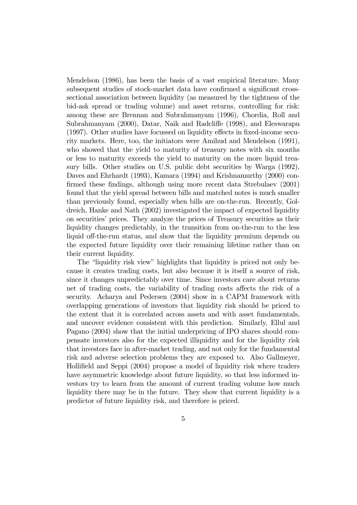Mendelson (1986), has been the basis of a vast empirical literature. Many subsequent studies of stock-market data have confirmed a significant crosssectional association between liquidity (as measured by the tightness of the bid-ask spread or trading volume) and asset returns, controlling for risk: among these are Brennan and Subrahmanyam (1996), Chordia, Roll and Subrahmanyam (2000), Datar, Naik and Radcliffe (1998), and Eleswarapu (1997). Other studies have focussed on liquidity effects in fixed-income security markets. Here, too, the initiators were Amihud and Mendelson (1991), who showed that the yield to maturity of treasury notes with six months or less to maturity exceeds the yield to maturity on the more liquid treasury bills. Other studies on U.S. public debt securities by Warga (1992), Daves and Ehrhardt (1993), Kamara (1994) and Krishnamurthy (2000) confirmed these findings, although using more recent data Strebulaev (2001) found that the yield spread between bills and matched notes is much smaller than previously found, especially when bills are on-the-run. Recently, Goldreich, Hanke and Nath (2002) investigated the impact of expected liquidity on securities' prices. They analyze the prices of Treasury securities as their liquidity changes predictably, in the transition from on-the-run to the less liquid off-the-run status, and show that the liquidity premium depends on the expected future liquidity over their remaining lifetime rather than on their current liquidity.

The "liquidity risk view" highlights that liquidity is priced not only because it creates trading costs, but also because it is itself a source of risk, since it changes unpredictably over time. Since investors care about returns net of trading costs, the variability of trading costs affects the risk of a security. Acharya and Pedersen (2004) show in a CAPM framework with overlapping generations of investors that liquidity risk should be priced to the extent that it is correlated across assets and with asset fundamentals, and uncover evidence consistent with this prediction. Similarly, Ellul and Pagano (2004) show that the initial underpricing of IPO shares should compensate investors also for the expected illiquidity and for the liquidity risk that investors face in after-market trading, and not only for the fundamental risk and adverse selection problems they are exposed to. Also Gallmeyer, Hollifield and Seppi (2004) propose a model of liquidity risk where traders have asymmetric knowledge about future liquidity, so that less informed investors try to learn from the amount of current trading volume how much liquidity there may be in the future. They show that current liquidity is a predictor of future liquidity risk, and therefore is priced.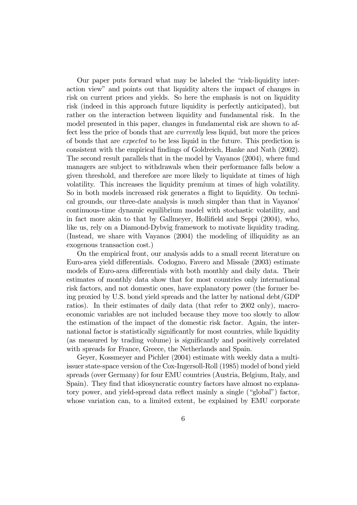Our paper puts forward what may be labeled the "risk-liquidity interaction view" and points out that liquidity alters the impact of changes in risk on current prices and yields. So here the emphasis is not on liquidity risk (indeed in this approach future liquidity is perfectly anticipated), but rather on the interaction between liquidity and fundamental risk. In the model presented in this paper, changes in fundamental risk are shown to affect less the price of bonds that are currently less liquid, but more the prices of bonds that are expected to be less liquid in the future. This prediction is consistent with the empirical findings of Goldreich, Hanke and Nath (2002). The second result parallels that in the model by Vayanos (2004), where fund managers are subject to withdrawals when their performance falls below a given threshold, and therefore are more likely to liquidate at times of high volatility. This increases the liquidity premium at times of high volatility. So in both models increased risk generates a flight to liquidity. On technical grounds, our three-date analysis is much simpler than that in Vayanos' continuous-time dynamic equilibrium model with stochastic volatility, and in fact more akin to that by Gallmeyer, Hollifield and Seppi (2004), who, like us, rely on a Diamond-Dybvig framework to motivate liquidity trading. (Instead, we share with Vayanos (2004) the modeling of illiquidity as an exogenous transaction cost.)

On the empirical front, our analysis adds to a small recent literature on Euro-area yield differentials. Codogno, Favero and Missale (2003) estimate models of Euro-area differentials with both monthly and daily data. Their estimates of monthly data show that for most countries only international risk factors, and not domestic ones, have explanatory power (the former being proxied by U.S. bond yield spreads and the latter by national debt/GDP ratios). In their estimates of daily data (that refer to 2002 only), macroeconomic variables are not included because they move too slowly to allow the estimation of the impact of the domestic risk factor. Again, the international factor is statistically significantly for most countries, while liquidity (as measured by trading volume) is significantly and positively correlated with spreads for France, Greece, the Netherlands and Spain.

Geyer, Kossmeyer and Pichler (2004) estimate with weekly data a multiissuer state-space version of the Cox-Ingersoll-Roll (1985) model of bond yield spreads (over Germany) for four EMU countries (Austria, Belgium, Italy, and Spain). They find that idiosyncratic country factors have almost no explanatory power, and yield-spread data reflect mainly a single ("global") factor, whose variation can, to a limited extent, be explained by EMU corporate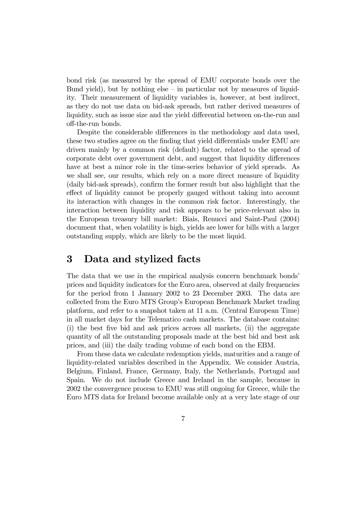bond risk (as measured by the spread of EMU corporate bonds over the Bund yield), but by nothing else  $-$  in particular not by measures of liquidity. Their measurement of liquidity variables is, however, at best indirect, as they do not use data on bid-ask spreads, but rather derived measures of liquidity, such as issue size and the yield differential between on-the-run and off-the-run bonds.

Despite the considerable differences in the methodology and data used, these two studies agree on the finding that yield differentials under EMU are driven mainly by a common risk (default) factor, related to the spread of corporate debt over government debt, and suggest that liquidity differences have at best a minor role in the time-series behavior of yield spreads. As we shall see, our results, which rely on a more direct measure of liquidity (daily bid-ask spreads), confirm the former result but also highlight that the effect of liquidity cannot be properly gauged without taking into account its interaction with changes in the common risk factor. Interestingly, the interaction between liquidity and risk appears to be price-relevant also in the European treasury bill market: Biais, Renucci and Saint-Paul (2004) document that, when volatility is high, yields are lower for bills with a larger outstanding supply, which are likely to be the most liquid.

## 3 Data and stylized facts

The data that we use in the empirical analysis concern benchmark bonds' prices and liquidity indicators for the Euro area, observed at daily frequencies for the period from 1 January 2002 to 23 December 2003. The data are collected from the Euro MTS Group's European Benchmark Market trading platform, and refer to a snapshot taken at 11 a.m. (Central European Time) in all market days for the Telematico cash markets. The database contains: (i) the best five bid and ask prices across all markets, (ii) the aggregate quantity of all the outstanding proposals made at the best bid and best ask prices, and (iii) the daily trading volume of each bond on the EBM.

From these data we calculate redemption yields, maturities and a range of liquidity-related variables described in the Appendix. We consider Austria, Belgium, Finland, France, Germany, Italy, the Netherlands, Portugal and Spain. We do not include Greece and Ireland in the sample, because in 2002 the convergence process to EMU was still ongoing for Greece, while the Euro MTS data for Ireland become available only at a very late stage of our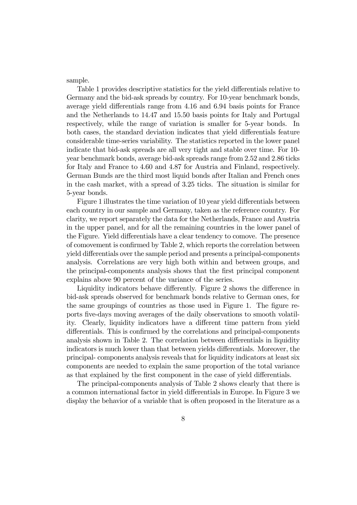sample.

Table 1 provides descriptive statistics for the yield differentials relative to Germany and the bid-ask spreads by country. For 10-year benchmark bonds, average yield differentials range from 4.16 and 6.94 basis points for France and the Netherlands to 14.47 and 15.50 basis points for Italy and Portugal respectively, while the range of variation is smaller for 5-year bonds. In both cases, the standard deviation indicates that yield differentials feature considerable time-series variability. The statistics reported in the lower panel indicate that bid-ask spreads are all very tight and stable over time. For 10 year benchmark bonds, average bid-ask spreads range from 2.52 and 2.86 ticks for Italy and France to 4.60 and 4.87 for Austria and Finland, respectively. German Bunds are the third most liquid bonds after Italian and French ones in the cash market, with a spread of 3.25 ticks. The situation is similar for 5-year bonds.

Figure 1 illustrates the time variation of 10 year yield differentials between each country in our sample and Germany, taken as the reference country. For clarity, we report separately the data for the Netherlands, France and Austria in the upper panel, and for all the remaining countries in the lower panel of the Figure. Yield differentials have a clear tendency to comove. The presence of comovement is confirmed by Table 2, which reports the correlation between yield differentials over the sample period and presents a principal-components analysis. Correlations are very high both within and between groups, and the principal-components analysis shows that the first principal component explains above 90 percent of the variance of the series.

Liquidity indicators behave differently. Figure 2 shows the difference in bid-ask spreads observed for benchmark bonds relative to German ones, for the same groupings of countries as those used in Figure 1. The figure reports five-days moving averages of the daily observations to smooth volatility. Clearly, liquidity indicators have a different time pattern from yield differentials. This is confirmed by the correlations and principal-components analysis shown in Table 2. The correlation between differentials in liquidity indicators is much lower than that between yields differentials. Moreover, the principal- components analysis reveals that for liquidity indicators at least six components are needed to explain the same proportion of the total variance as that explained by the first component in the case of yield differentials.

The principal-components analysis of Table 2 shows clearly that there is a common international factor in yield differentials in Europe. In Figure 3 we display the behavior of a variable that is often proposed in the literature as a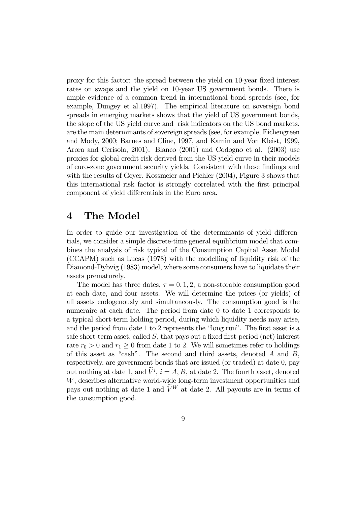proxy for this factor: the spread between the yield on 10-year fixed interest rates on swaps and the yield on 10-year US government bonds. There is ample evidence of a common trend in international bond spreads (see, for example, Dungey et al.1997). The empirical literature on sovereign bond spreads in emerging markets shows that the yield of US government bonds, the slope of the US yield curve and risk indicators on the US bond markets, are the main determinants of sovereign spreads (see, for example, Eichengreen and Mody, 2000; Barnes and Cline, 1997, and Kamin and Von Kleist, 1999, Arora and Cerisola, 2001). Blanco (2001) and Codogno et al. (2003) use proxies for global credit risk derived from the US yield curve in their models of euro-zone government security yields. Consistent with these findings and with the results of Geyer, Kossmeier and Pichler (2004), Figure 3 shows that this international risk factor is strongly correlated with the first principal component of yield differentials in the Euro area.

### 4 The Model

In order to guide our investigation of the determinants of yield differentials, we consider a simple discrete-time general equilibrium model that combines the analysis of risk typical of the Consumption Capital Asset Model (CCAPM) such as Lucas (1978) with the modelling of liquidity risk of the Diamond-Dybvig (1983) model, where some consumers have to liquidate their assets prematurely.

The model has three dates,  $\tau = 0, 1, 2$ , a non-storable consumption good at each date, and four assets. We will determine the prices (or yields) of all assets endogenously and simultaneously. The consumption good is the numeraire at each date. The period from date 0 to date 1 corresponds to a typical short-term holding period, during which liquidity needs may arise, and the period from date 1 to 2 represents the "long run". The first asset is a safe short-term asset, called  $S$ , that pays out a fixed first-period (net) interest rate  $r_0 > 0$  and  $r_1 > 0$  from date 1 to 2. We will sometimes refer to holdings of this asset as "cash". The second and third assets, denoted  $A$  and  $B$ , respectively, are government bonds that are issued (or traded) at date 0, pay out nothing at date 1, and  $\tilde{V}^i$ ,  $i = A, B$ , at date 2. The fourth asset, denoted W, describes alternative world-wide long-term investment opportunities and pays out nothing at date 1 and  $\widetilde{V}^{W}$  at date 2. All payouts are in terms of the consumption good.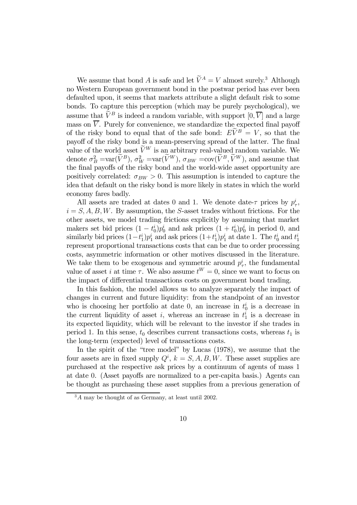We assume that bond A is safe and let  $\widetilde{V}^A = V$  almost surely.<sup>3</sup> Although no Western European government bond in the postwar period has ever been defaulted upon, it seems that markets attribute a slight default risk to some bonds. To capture this perception (which may be purely psychological), we assume that  $\widetilde{V}^B$  is indeed a random variable, with support  $[0, \overline{V}]$  and a large mass on  $\overline{V}$ . Purely for convenience, we standardize the expected final payoff of the risky bond to equal that of the safe bond:  $E\dot{V}^B = V$ , so that the payoff of the risky bond is a mean-preserving spread of the latter. The final value of the world asset  $\widetilde{V}^{W}$  is an arbitrary real-valued random variable. We denote  $\sigma_B^2 = \text{var}(V^B)$ ,  $\sigma_W^2 = \text{var}(V^W)$ ,  $\sigma_{BW} = \text{cov}(V^B, V^W)$ , and assume that the final payoffs of the risky bond and the world-wide asset opportunity are positively correlated:  $\sigma_{BW} > 0$ . This assumption is intended to capture the idea that default on the risky bond is more likely in states in which the world economy fares badly.

All assets are traded at dates 0 and 1. We denote date- $\tau$  prices by  $p_{\tau}^{i}$ ,  $i = S, A, B, W$ . By assumption, the S-asset trades without frictions. For the other assets, we model trading frictions explicitly by assuming that market makers set bid prices  $(1 - t_0^i)p_0^i$  and ask prices  $(1 + t_0^i)p_0^i$  in period 0, and similarly bid prices  $(1-t_1^i)p_1^i$  and ask prices  $(1+t_1^i)p_1^i$  at date 1. The  $t_0^i$  and  $t_1^i$ represent proportional transactions costs that can be due to order processing costs, asymmetric information or other motives discussed in the literature. We take them to be exogenous and symmetric around  $p_{\tau}^{i}$ , the fundamental value of asset *i* at time  $\tau$ . We also assume  $t^W = 0$ , since we want to focus on the impact of differential transactions costs on government bond trading.

In this fashion, the model allows us to analyze separately the impact of changes in current and future liquidity: from the standpoint of an investor who is choosing her portfolio at date 0, an increase in  $t_0^i$  is a decrease in the current liquidity of asset *i*, whereas an increase in  $t_1^i$  is a decrease in its expected liquidity, which will be relevant to the investor if she trades in period 1. In this sense,  $t_0$  describes current transactions costs, whereas  $t_1$  is the long-term (expected) level of transactions costs.

In the spirit of the "tree model" by Lucas (1978), we assume that the four assets are in fixed supply  $Q^i$ ,  $k = S, A, B, W$ . These asset supplies are purchased at the respective ask prices by a continuum of agents of mass 1 at date 0. (Asset payoffs are normalized to a per-capita basis.) Agents can be thought as purchasing these asset supplies from a previous generation of

 $3A$  may be thought of as Germany, at least until 2002.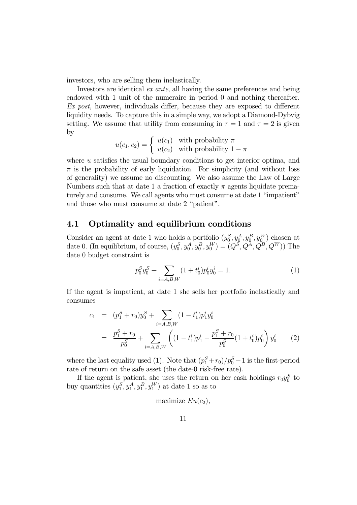investors, who are selling them inelastically.

Investors are identical ex ante, all having the same preferences and being endowed with 1 unit of the numeraire in period 0 and nothing thereafter. Ex post, however, individuals differ, because they are exposed to different liquidity needs. To capture this in a simple way, we adopt a Diamond-Dybvig setting. We assume that utility from consuming in  $\tau = 1$  and  $\tau = 2$  is given by

$$
u(c_1, c_2) = \begin{cases} u(c_1) & \text{with probability } \pi \\ u(c_2) & \text{with probability } 1 - \pi \end{cases}
$$

where u satisfies the usual boundary conditions to get interior optima, and  $\pi$  is the probability of early liquidation. For simplicity (and without loss of generality) we assume no discounting. We also assume the Law of Large Numbers such that at date 1 a fraction of exactly  $\pi$  agents liquidate prematurely and consume. We call agents who must consume at date 1 "impatient" and those who must consume at date 2 "patient".

#### 4.1 Optimality and equilibrium conditions

Consider an agent at date 1 who holds a portfolio  $(y_0^S, y_0^A, y_0^B, y_0^W)$  chosen at date 0. (In equilibrium, of course,  $(y_0^S, y_0^A, y_0^B, y_0^W) = (Q^S, Q^A, Q^B, Q^W)$ ) The date 0 budget constraint is

$$
p_0^S y_0^S + \sum_{i=A,B,W} (1+t_0^i) p_0^i y_0^i = 1.
$$
 (1)

If the agent is impatient, at date 1 she sells her portfolio inelastically and consumes

$$
c_1 = (p_1^S + r_0)y_0^S + \sum_{i=A,B,W} (1 - t_1^i)p_1^i y_0^i
$$
  
= 
$$
\frac{p_1^S + r_0}{p_0^S} + \sum_{i=A,B,W} \left( (1 - t_1^i)p_1^i - \frac{p_1^S + r_0}{p_0^S} (1 + t_0^i)p_0^i \right) y_0^i
$$
 (2)

where the last equality used (1). Note that  $(p_1^S + r_0)/p_0^S - 1$  is the first-period rate of return on the safe asset (the date-0 risk-free rate).

If the agent is patient, she uses the return on her cash holdings  $r_0y_0^S$  to buy quantities  $(y_1^S, y_1^A, y_1^B, y_1^W)$  at date 1 so as to

$$
maximize Eu(c_2),
$$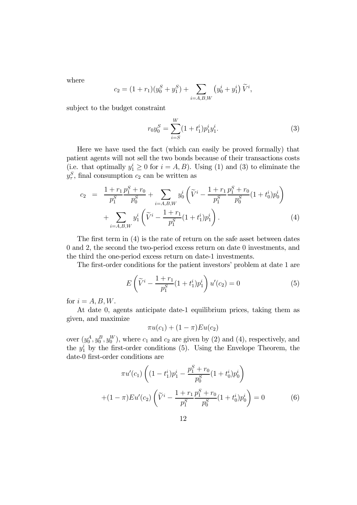where

$$
c_2 = (1 + r_1)(y_0^S + y_1^S) + \sum_{i = A, B, W} (y_0^i + y_1^i) \widetilde{V}^i,
$$

subject to the budget constraint

$$
r_0 y_0^S = \sum_{i=S}^W (1 + t_1^i) p_1^i y_1^i.
$$
 (3)

Here we have used the fact (which can easily be proved formally) that patient agents will not sell the two bonds because of their transactions costs (i.e. that optimally  $y_1^i \geq 0$  for  $i = A, B$ ). Using (1) and (3) to eliminate the  $y_\tau^S$ , final consumption  $c_2$  can be written as

$$
c_2 = \frac{1 + r_1}{p_1^S} \frac{p_1^S + r_0}{p_0^S} + \sum_{i = A, B, W} y_0^i \left( \tilde{V}^i - \frac{1 + r_1}{p_1^S} \frac{p_1^S + r_0}{p_0^S} (1 + t_0^i) p_0^i \right) + \sum_{i = A, B, W} y_1^i \left( \tilde{V}^i - \frac{1 + r_1}{p_1^S} (1 + t_1^i) p_1^i \right).
$$
 (4)

The first term in (4) is the rate of return on the safe asset between dates 0 and 2, the second the two-period excess return on date 0 investments, and the third the one-period excess return on date-1 investments.

The first-order conditions for the patient investors' problem at date 1 are

$$
E\left(\widetilde{V}^{i} - \frac{1+r_{1}}{p_{1}^{S}}(1+t_{1}^{i})p_{1}^{i}\right)u'(c_{2}) = 0
$$
\n(5)

for  $i = A, B, W$ .

At date 0, agents anticipate date-1 equilibrium prices, taking them as given, and maximize

$$
\pi u(c_1) + (1 - \pi)Eu(c_2)
$$

over  $(y_0^A, y_0^B, y_0^W)$ , where  $c_1$  and  $c_2$  are given by (2) and (4), respectively, and the  $y_1^i$  by the first-order conditions (5). Using the Envelope Theorem, the date-0 first-order conditions are

$$
\pi u'(c_1) \left( (1 - t_1^i) p_1^i - \frac{p_1^S + r_0}{p_0^S} (1 + t_0^i) p_0^i \right)
$$

$$
+ (1 - \pi) E u'(c_2) \left( \widetilde{V}^i - \frac{1 + r_1}{p_1^S} \frac{p_1^S + r_0}{p_0^S} (1 + t_0^i) p_0^i \right) = 0 \tag{6}
$$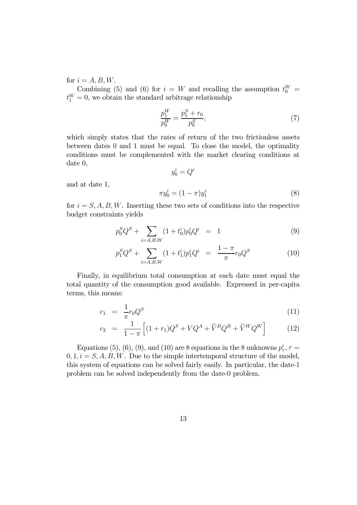for  $i = A, B, W$ .

Combining (5) and (6) for  $i = W$  and recalling the assumption  $t_0^W =$  $t_1^W = 0$ , we obtain the standard arbitrage relationship

$$
\frac{p_1^W}{p_0^W} = \frac{p_1^S + r_0}{p_0^S},\tag{7}
$$

which simply states that the rates of return of the two frictionless assets between dates 0 and 1 must be equal. To close the model, the optimality conditions must be complemented with the market clearing conditions at date 0,

$$
y_0^i=Q^i
$$

and at date 1,

$$
\pi y_0^i = (1 - \pi) y_1^i \tag{8}
$$

for  $i = S, A, B, W$ . Inserting these two sets of conditions into the respective budget constraints yields

$$
p_0^S Q^S + \sum_{i=A,B,W} (1+t_0^i) p_0^i Q^i = 1
$$
\n(9)

$$
p_1^S Q^S + \sum_{i=A,B,W} (1+t_1^i) p_1^i Q^i = \frac{1-\pi}{\pi} r_0 Q^S \tag{10}
$$

Finally, in equilibrium total consumption at each date must equal the total quantity of the consumption good available. Expressed in per-capita terms, this means:

$$
c_1 = \frac{1}{\pi} r_0 Q^S \tag{11}
$$

$$
c_2 = \frac{1}{1-\pi} \left[ (1+r_1)Q^S + VQ^A + \tilde{V}^B Q^B + \tilde{V}^W Q^W \right] \tag{12}
$$

Equations (5), (6), (9), and (10) are 8 equations in the 8 unknowns  $p_{\tau}^{i}$ ,  $\tau =$  $0, 1, i = S, A, B, W$ . Due to the simple intertemporal structure of the model, this system of equations can be solved fairly easily. In particular, the date-1 problem can be solved independently from the date-0 problem.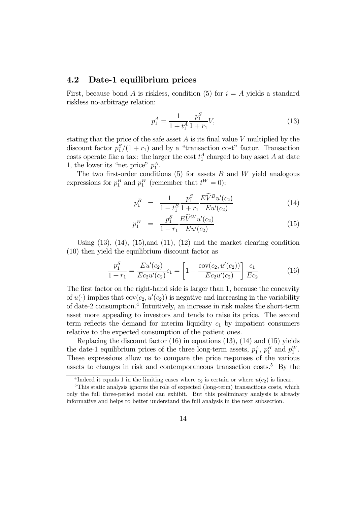#### 4.2 Date-1 equilibrium prices

First, because bond A is riskless, condition (5) for  $i = A$  yields a standard riskless no-arbitrage relation:

$$
p_1^A = \frac{1}{1 + t_1^A} \frac{p_1^S}{1 + r_1} V,\tag{13}
$$

stating that the price of the safe asset  $A$  is its final value V multiplied by the discount factor  $p_1^S/(1+r_1)$  and by a "transaction cost" factor. Transaction costs operate like a tax: the larger the cost  $t_1^A$  charged to buy asset A at date 1, the lower its "net price"  $p_1^A$ .

The two first-order conditions  $(5)$  for assets  $B$  and  $W$  yield analogous expressions for  $p_1^B$  and  $p_1^W$  (remember that  $t^W = 0$ ):

$$
p_1^B = \frac{1}{1+t_1^B} \frac{p_1^S}{1+r_1} \frac{E\widetilde{V}^B u'(c_2)}{E u'(c_2)} \tag{14}
$$

$$
p_1^W = \frac{p_1^S}{1+r_1} \frac{EV^W u'(c_2)}{E u'(c_2)} \tag{15}
$$

Using  $(13)$ ,  $(14)$ ,  $(15)$ , and  $(11)$ ,  $(12)$  and the market clearing condition (10) then yield the equilibrium discount factor as

$$
\frac{p_1^S}{1+r_1} = \frac{Eu'(c_2)}{Ec_2u'(c_2)}c_1 = \left[1 - \frac{\text{cov}(c_2, u'(c_2))}{Ec_2u'(c_2)}\right] \frac{c_1}{Ec_2}
$$
(16)

The first factor on the right-hand side is larger than 1, because the concavity of  $u(\cdot)$  implies that  $cov(c_2, u'(c_2))$  is negative and increasing in the variability of date-2 consumption.4 Intuitively, an increase in risk makes the short-term asset more appealing to investors and tends to raise its price. The second term reflects the demand for interim liquidity  $c_1$  by impatient consumers relative to the expected consumption of the patient ones.

Replacing the discount factor  $(16)$  in equations  $(13)$ ,  $(14)$  and  $(15)$  yields the date-1 equilibrium prices of the three long-term assets,  $p_1^A$ ,  $p_1^B$  and  $p_1^W$ . These expressions allow us to compare the price responses of the various assets to changes in risk and contemporaneous transaction  $costs$ <sup>5</sup> By the

<sup>&</sup>lt;sup>4</sup>Indeed it equals 1 in the limiting cases where  $c_2$  is certain or where  $u(c_2)$  is linear.

<sup>&</sup>lt;sup>5</sup>This static analysis ignores the role of expected (long-term) transactions costs, which only the full three-period model can exhibit. But this preliminary analysis is already informative and helps to better understand the full analysis in the next subsection.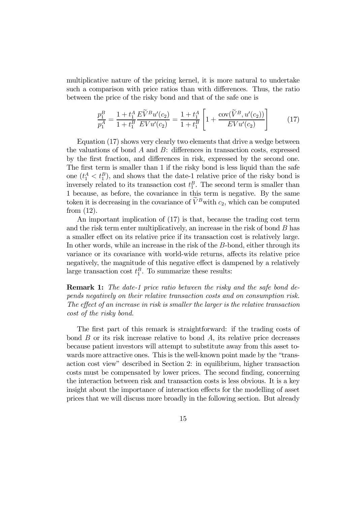multiplicative nature of the pricing kernel, it is more natural to undertake such a comparison with price ratios than with differences. Thus, the ratio between the price of the risky bond and that of the safe one is

$$
\frac{p_1^B}{p_1^A} = \frac{1 + t_1^A}{1 + t_1^B} \frac{E\widetilde{V}^B u'(c_2)}{E V u'(c_2)} = \frac{1 + t_1^A}{1 + t_1^B} \left[ 1 + \frac{\text{cov}(\widetilde{V}^B, u'(c_2))}{E V u'(c_2)} \right]
$$
(17)

Equation (17) shows very clearly two elements that drive a wedge between the valuations of bond  $A$  and  $B$ : differences in transaction costs, expressed by the first fraction, and differences in risk, expressed by the second one. The first term is smaller than 1 if the risky bond is less liquid than the safe one  $(t_1^A < t_1^B)$ , and shows that the date-1 relative price of the risky bond is inversely related to its transaction cost  $t_1^B$ . The second term is smaller than 1 because, as before, the covariance in this term is negative. By the same token it is decreasing in the covariance of  $\widetilde{V}^B$  with  $c_2$ , which can be computed from (12).

An important implication of (17) is that, because the trading cost term and the risk term enter multiplicatively, an increase in the risk of bond  $B$  has a smaller effect on its relative price if its transaction cost is relatively large. In other words, while an increase in the risk of the B-bond, either through its variance or its covariance with world-wide returns, affects its relative price negatively, the magnitude of this negative effect is dampened by a relatively large transaction cost  $t_1^B$ . To summarize these results:

Remark 1: The date-1 price ratio between the risky and the safe bond depends negatively on their relative transaction costs and on consumption risk. The effect of an increase in risk is smaller the larger is the relative transaction cost of the risky bond.

The first part of this remark is straightforward: if the trading costs of bond  $B$  or its risk increase relative to bond  $A$ , its relative price decreases because patient investors will attempt to substitute away from this asset towards more attractive ones. This is the well-known point made by the "transaction cost view" described in Section 2: in equilibrium, higher transaction costs must be compensated by lower prices. The second finding, concerning the interaction between risk and transaction costs is less obvious. It is a key insight about the importance of interaction effects for the modelling of asset prices that we will discuss more broadly in the following section. But already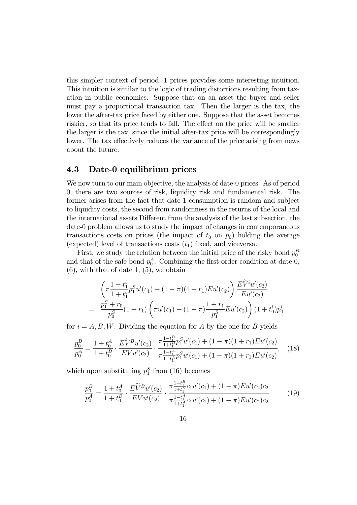this simpler context of period -1 prices provides some interesting intuition. This intuition is similar to the logic of trading distortions resulting from taxation in public economics. Suppose that on an asset the buyer and seller must pay a proportional transaction tax. Then the larger is the tax, the lower the after-tax price faced by either one. Suppose that the asset becomes riskier, so that its price tends to fall. The effect on the price will be smaller the larger is the tax, since the initial after-tax price will be correspondingly lower. The tax effectively reduces the variance of the price arising from news about the future.

#### 4.3 Date-0 equilibrium prices

We now turn to our main objective, the analysis of date-0 prices. As of period 0, there are two sources of risk, liquidity risk and fundamental risk. The former arises from the fact that date-1 consumption is random and subject to liquidity costs, the second from randomness in the returns of the local and the international assets Different from the analysis of the last subsection, the date-0 problem allows us to study the impact of changes in contemporaneous transactions costs on prices (the impact of  $t_0$  on  $p_0$ ) holding the average (expected) level of transactions costs  $(t_1)$  fixed, and viceversa.

First, we study the relation between the initial price of the risky bond  $p_0^B$ and that of the safe bond  $p_0^A$ . Combining the first-order condition at date 0,  $(6)$ , with that of date 1,  $(5)$ , we obtain

$$
\left(\pi \frac{1 - t_1^i}{1 + t_1^i} p_1^S u'(c_1) + (1 - \pi)(1 + r_1) E u'(c_2)\right) \frac{E\widetilde{V}^i u'(c_2)}{E u'(c_2)}
$$
\n
$$
= \frac{p_1^S + r_0}{p_0^S} (1 + r_1) \left(\pi u'(c_1) + (1 - \pi) \frac{1 + r_1}{p_1^S} E u'(c_2)\right) (1 + t_0^i) p_0^i
$$

for  $i = A, B, W$ . Dividing the equation for A by the one for B yields

$$
\frac{p_0^B}{p_0^A} = \frac{1 + t_0^A}{1 + t_0^B} \cdot \frac{E\widetilde{V}^B u'(c_2)}{E V u'(c_2)} \cdot \frac{\pi \frac{1 - t_1^B}{1 + t_1^B} p_1^S u'(c_1) + (1 - \pi)(1 + r_1) E u'(c_2)}{\pi \frac{1 - t_1^A}{1 + t_1^A} p_1^S u'(c_1) + (1 - \pi)(1 + r_1) E u'(c_2)},\tag{18}
$$

which upon substituting  $p_1^S$  from (16) becomes

$$
\frac{p_0^B}{p_0^A} = \frac{1 + t_0^A}{1 + t_0^B} \cdot \frac{E\widetilde{V}^B u'(c_2)}{E V u'(c_2)} \cdot \frac{\pi \frac{1 - t_1^B}{1 + t_1^B} c_1 u'(c_1) + (1 - \pi) E u'(c_2) c_2}{\pi \frac{1 - t_1^A}{1 + t_1^A} c_1 u'(c_1) + (1 - \pi) E u'(c_2) c_2}
$$
(19)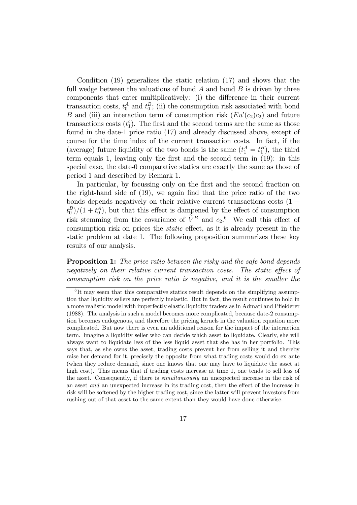Condition (19) generalizes the static relation (17) and shows that the full wedge between the valuations of bond  $A$  and bond  $B$  is driven by three components that enter multiplicatively: (i) the difference in their current transaction costs,  $t_0^A$  and  $t_0^B$ ; (ii) the consumption risk associated with bond B and (iii) an interaction term of consumption risk  $(Eu'(c_2)c_2)$  and future transactions costs  $(t_1^i)$ . The first and the second terms are the same as those found in the date-1 price ratio (17) and already discussed above, except of course for the time index of the current transaction costs. In fact, if the (average) future liquidity of the two bonds is the same  $(t_1^A = t_1^B)$ , the third term equals 1, leaving only the first and the second term in (19): in this special case, the date-0 comparative statics are exactly the same as those of period 1 and described by Remark 1.

In particular, by focussing only on the first and the second fraction on the right-hand side of (19), we again find that the price ratio of the two bonds depends negatively on their relative current transactions costs  $(1 +$  $(t_0^B)/(1+t_0^A)$ , but that this effect is dampened by the effect of consumption risk stemming from the covariance of  $V^B$  and  $c_2$ .<sup>6</sup> We call this effect of consumption risk on prices the static effect, as it is already present in the static problem at date 1. The following proposition summarizes these key results of our analysis.

**Proposition 1:** The price ratio between the risky and the safe bond depends negatively on their relative current transaction costs. The static effect of consumption risk on the price ratio is negative, and it is the smaller the

 ${}^{6}$ It may seem that this comparative statics result depends on the simplifying assumption that liquidity sellers are perfectly inelastic. But in fact, the result continues to hold in a more realistic model with imperfectly elastic liquidity traders as in Admati and Pfleiderer (1988). The analysis in such a model becomes more complicated, because date-2 consumption becomes endogenous, and therefore the pricing kernels in the valuation equation more complicated. But now there is even an additional reason for the impact of the interaction term. Imagine a liquidity seller who can decide which asset to liquidate. Clearly, she will always want to liquidate less of the less liquid asset that she has in her portfolio. This says that, as she owns the asset, trading costs prevent her from selling it and thereby raise her demand for it, precisely the opposite from what trading costs would do ex ante (when they reduce demand, since one knows that one may have to liquidate the asset at high cost). This means that if trading costs increase at time 1, one tends to sell less of the asset. Consequently, if there is *simultaneously* an unexpected increase in the risk of an asset and an unexpected increase in its trading cost, then the effect of the increase in risk will be softened by the higher trading cost, since the latter will prevent investors from rushing out of that asset to the same extent than they would have done otherwise.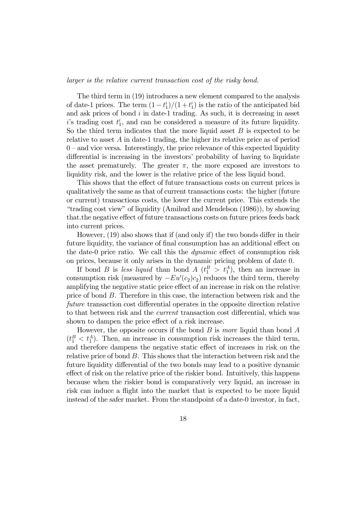larger is the relative current transaction cost of the risky bond.

The third term in (19) introduces a new element compared to the analysis of date-1 prices. The term  $(1-t_1^i)/(1+t_1^i)$  is the ratio of the anticipated bid and ask prices of bond  $i$  in date-1 trading. As such, it is decreasing in asset  $i$ 's trading cost  $t_1^i$ , and can be considered a measure of its future liquidity. So the third term indicates that the more liquid asset  $B$  is expected to be relative to asset  $A$  in date-1 trading, the higher its relative price as of period  $0$  – and vice versa. Interestingly, the price relevance of this expected liquidity differential is increasing in the investors' probability of having to liquidate the asset prematurely. The greater  $\pi$ , the more exposed are investors to liquidity risk, and the lower is the relative price of the less liquid bond.

This shows that the effect of future transactions costs on current prices is qualitatively the same as that of current transactions costs: the higher (future or current) transactions costs, the lower the current price. This extends the "trading cost view" of liquidity (Amihud and Mendelson (1986)), by showing that.the negative effect of future transactions costs on future prices feeds back into current prices.

However, (19) also shows that if (and only if) the two bonds differ in their future liquidity, the variance of final consumption has an additional effect on the date-0 price ratio. We call this the dynamic effect of consumption risk on prices, because it only arises in the dynamic pricing problem of date 0.

If bond B is less liquid than bond  $A(t_1^B > t_1^A)$ , then an increase in consumption risk (measured by  $-Eu'(c_2)c_2$ ) reduces the third term, thereby amplifying the negative static price effect of an increase in risk on the relative price of bond B. Therefore in this case, the interaction between risk and the future transaction cost differential operates in the opposite direction relative to that between risk and the current transaction cost differential, which was shown to dampen the price effect of a risk increase.

However, the opposite occurs if the bond  $B$  is more liquid than bond  $A$  $(t_1^B < t_1^A)$ . Then, an increase in consumption risk increases the third term, and therefore dampens the negative static effect of increases in risk on the relative price of bond B. This shows that the interaction between risk and the future liquidity differential of the two bonds may lead to a positive dynamic effect of risk on the relative price of the riskier bond. Intuitively, this happens because when the riskier bond is comparatively very liquid, an increase in risk can induce a flight into the market that is expected to be more liquid instead of the safer market. From the standpoint of a date-0 investor, in fact,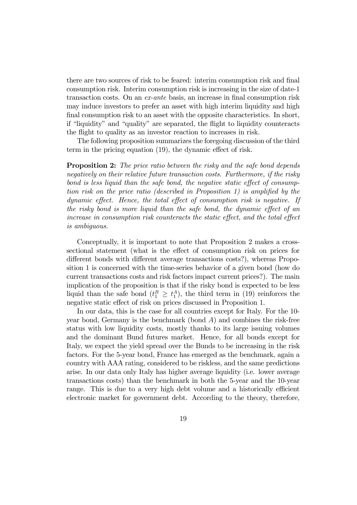there are two sources of risk to be feared: interim consumption risk and final consumption risk. Interim consumption risk is increasing in the size of date-1 transaction costs. On an ex-ante basis, an increase in final consumption risk may induce investors to prefer an asset with high interim liquidity and high final consumption risk to an asset with the opposite characteristics. In short, if "liquidity" and "quality" are separated, the flight to liquidity counteracts the flight to quality as an investor reaction to increases in risk.

The following proposition summarizes the foregoing discussion of the third term in the pricing equation (19), the dynamic effect of risk.

**Proposition 2:** The price ratio between the risky and the safe bond depends negatively on their relative future transaction costs. Furthermore, if the risky bond is less liquid than the safe bond, the negative static effect of consumption risk on the price ratio (described in Proposition 1) is amplified by the dynamic effect. Hence, the total effect of consumption risk is negative. If the risky bond is more liquid than the safe bond, the dynamic effect of an increase in consumption risk counteracts the static effect, and the total effect is ambiguous.

Conceptually, it is important to note that Proposition 2 makes a crosssectional statement (what is the effect of consumption risk on prices for different bonds with different average transactions costs?), whereas Proposition 1 is concerned with the time-series behavior of a given bond (how do current transactions costs and risk factors impact current prices?). The main implication of the proposition is that if the risky bond is expected to be less liquid than the safe bond  $(t_1^B \geq t_1^A)$ , the third term in (19) reinforces the negative static effect of risk on prices discussed in Proposition 1.

In our data, this is the case for all countries except for Italy. For the 10 year bond, Germany is the benchmark (bond  $A$ ) and combines the risk-free status with low liquidity costs, mostly thanks to its large issuing volumes and the dominant Bund futures market. Hence, for all bonds except for Italy, we expect the yield spread over the Bunds to be increasing in the risk factors. For the 5-year bond, France has emerged as the benchmark, again a country with AAA rating, considered to be riskless, and the same predictions arise. In our data only Italy has higher average liquidity (i.e. lower average transactions costs) than the benchmark in both the 5-year and the 10-year range. This is due to a very high debt volume and a historically efficient electronic market for government debt. According to the theory, therefore,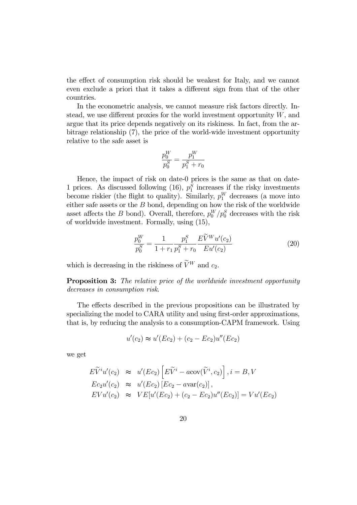the effect of consumption risk should be weakest for Italy, and we cannot even exclude a priori that it takes a different sign from that of the other countries.

In the econometric analysis, we cannot measure risk factors directly. Instead, we use different proxies for the world investment opportunity  $W$ , and argue that its price depends negatively on its riskiness. In fact, from the arbitrage relationship (7), the price of the world-wide investment opportunity relative to the safe asset is

$$
\frac{p_0^W}{p_0^S} = \frac{p_1^W}{p_1^S + r_0}
$$

Hence, the impact of risk on date-0 prices is the same as that on date-1 prices. As discussed following (16),  $p_1^S$  increases if the risky investments become riskier (the flight to quality). Similarly,  $p_1^W$  decreases (a move into either safe assets or the  $B$  bond, depending on how the risk of the worldwide asset affects the B bond). Overall, therefore,  $p_0^W/p_0^S$  decreases with the risk of worldwide investment. Formally, using (15),

$$
\frac{p_0^W}{p_0^S} = \frac{1}{1+r_1} \frac{p_1^S}{p_1^S + r_0} \frac{E\widetilde{V}^W u'(c_2)}{E u'(c_2)}\tag{20}
$$

which is decreasing in the riskiness of  $\widetilde{V}^{W}$  and  $c_2$ .

**Proposition 3:** The relative price of the worldwide investment opportunity decreases in consumption risk.

The effects described in the previous propositions can be illustrated by specializing the model to CARA utility and using first-order approximations, that is, by reducing the analysis to a consumption-CAPM framework. Using

$$
u'(c_2) \approx u'(Ec_2) + (c_2 - Ec_2)u''(Ec_2)
$$

we get

$$
E\widetilde{V}^i u'(c_2) \approx u'(Ec_2) \left[E\widetilde{V}^i - a\text{cov}(\widetilde{V}^i, c_2)\right], i = B, V
$$
  
\n
$$
Ec_2u'(c_2) \approx u'(Ec_2) \left[Ec_2 - a\text{var}(c_2)\right],
$$
  
\n
$$
EVu'(c_2) \approx VE[u'(Ec_2) + (c_2 - Ec_2)u''(Ec_2)] = Vu'(Ec_2)
$$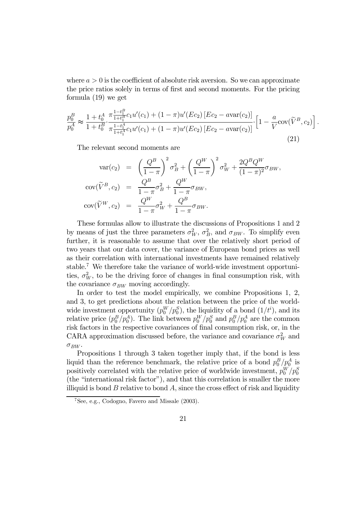where  $a > 0$  is the coefficient of absolute risk aversion. So we can approximate the price ratios solely in terms of first and second moments. For the pricing formula (19) we get

$$
\frac{p_0^B}{p_0^A} \approx \frac{1 + t_0^A}{1 + t_0^B} \cdot \frac{\pi \frac{1 - t_1^B}{1 + t_1^B} c_1 u'(c_1) + (1 - \pi) u'(Ec_2) \left[ Ec_2 - a \text{var}(c_2) \right]}{\pi \frac{1 - t_1^A}{1 + t_1^A} c_1 u'(c_1) + (1 - \pi) u'(Ec_2) \left[ Ec_2 - a \text{var}(c_2) \right]} \cdot \left[ 1 - \frac{a}{V} \text{cov}(\widetilde{V}^B, c_2) \right].
$$
\n(21)

The relevant second moments are

$$
\begin{array}{rcl}\n\text{var}(c_2) & = & \left(\frac{Q^B}{1-\pi}\right)^2 \sigma_B^2 + \left(\frac{Q^W}{1-\pi}\right)^2 \sigma_W^2 + \frac{2Q^B Q^W}{(1-\pi)^2} \sigma_{BW}, \\
\text{cov}(\widetilde{V}^B, c_2) & = & \frac{Q^B}{1-\pi} \sigma_B^2 + \frac{Q^W}{1-\pi} \sigma_{BW}, \\
\text{cov}(\widetilde{V}^W, c_2) & = & \frac{Q^W}{1-\pi} \sigma_W^2 + \frac{Q^B}{1-\pi} \sigma_{BW}.\n\end{array}
$$

These formulas allow to illustrate the discussions of Propositions 1 and 2 by means of just the three parameters  $\sigma_W^2$ ,  $\sigma_B^2$ , and  $\sigma_{BW}$ . To simplify even further, it is reasonable to assume that over the relatively short period of two years that our data cover, the variance of European bond prices as well as their correlation with international investments have remained relatively stable.<sup>7</sup> We therefore take the variance of world-wide investment opportunities,  $\sigma_W^2$ , to be the driving force of changes in final consumption risk, with the covariance  $\sigma_{BW}$  moving accordingly.

In order to test the model empirically, we combine Propositions 1, 2, and 3, to get predictions about the relation between the price of the worldwide investment opportunity  $(p_0^W/p_0^S)$ , the liquidity of a bond  $(1/t^i)$ , and its relative price  $(p_0^B/p_0^A)$ . The link between  $p_0^W/p_0^S$  and  $p_0^B/p_0^A$  are the common risk factors in the respective covariances of final consumption risk, or, in the CARA approximation discussed before, the variance and covariance  $\sigma_W^2$  and  $\sigma_{BW}$ .

Propositions 1 through 3 taken together imply that, if the bond is less liquid than the reference benchmark, the relative price of a bond  $p_0^B/p_0^A$  is positively correlated with the relative price of worldwide investment,  $p_0^W/p_0^S$ (the "international risk factor"), and that this correlation is smaller the more illiquid is bond  $B$  relative to bond  $A$ , since the cross effect of risk and liquidity

<sup>7</sup>See, e.g., Codogno, Favero and Missale (2003).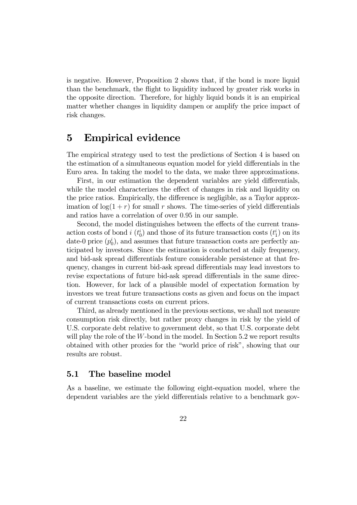is negative. However, Proposition 2 shows that, if the bond is more liquid than the benchmark, the flight to liquidity induced by greater risk works in the opposite direction. Therefore, for highly liquid bonds it is an empirical matter whether changes in liquidity dampen or amplify the price impact of risk changes.

### 5 Empirical evidence

The empirical strategy used to test the predictions of Section 4 is based on the estimation of a simultaneous equation model for yield differentials in the Euro area. In taking the model to the data, we make three approximations.

First, in our estimation the dependent variables are yield differentials, while the model characterizes the effect of changes in risk and liquidity on the price ratios. Empirically, the difference is negligible, as a Taylor approximation of  $\log(1+r)$  for small r shows. The time-series of yield differentials and ratios have a correlation of over 0.95 in our sample.

Second, the model distinguishes between the effects of the current transaction costs of bond  $i(t_0^i)$  and those of its future transaction costs  $(t_1^i)$  on its date-0 price  $(p_0^i)$ , and assumes that future transaction costs are perfectly anticipated by investors. Since the estimation is conducted at daily frequency, and bid-ask spread differentials feature considerable persistence at that frequency, changes in current bid-ask spread differentials may lead investors to revise expectations of future bid-ask spread differentials in the same direction. However, for lack of a plausible model of expectation formation by investors we treat future transactions costs as given and focus on the impact of current transactions costs on current prices.

Third, as already mentioned in the previous sections, we shall not measure consumption risk directly, but rather proxy changes in risk by the yield of U.S. corporate debt relative to government debt, so that U.S. corporate debt will play the role of the W-bond in the model. In Section 5.2 we report results obtained with other proxies for the "world price of risk", showing that our results are robust.

#### 5.1 The baseline model

As a baseline, we estimate the following eight-equation model, where the dependent variables are the yield differentials relative to a benchmark gov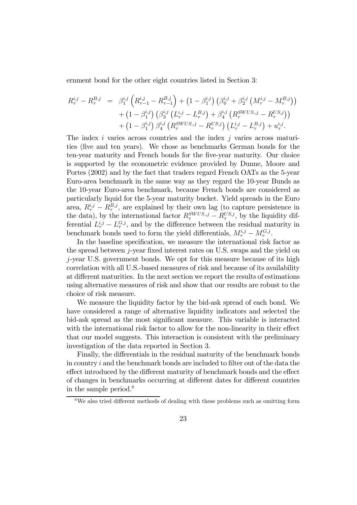ernment bond for the other eight countries listed in Section 3:

$$
R_{\tau}^{i,j} - R_{\tau}^{B,j} = \beta_1^{i,j} \left( R_{\tau-1}^{i,j} - R_{\tau-1}^{B,j} \right) + \left( 1 - \beta_1^{i,j} \right) \left( \beta_0^{i,j} + \beta_2^{i,j} \left( M_{\tau}^{i,j} - M_{\tau}^{B,j} \right) \right) + \left( 1 - \beta_1^{i,j} \right) \left( \beta_3^{i,j} \left( L_{\tau}^{i,j} - L_{\tau}^{B,j} \right) + \beta_4^{i,j} \left( R_{\tau}^{SWUS,j} - R_{\tau}^{US,j} \right) \right) + \left( 1 - \beta_1^{i,j} \right) \beta_4^{i,j} \left( R_{\tau}^{SWUS,j} - R_{\tau}^{US,j} \right) \left( L_{\tau}^{i,j} - L_{\tau}^{B,j} \right) + u_{\tau}^{i,j}.
$$

The index  $i$  varies across countries and the index  $j$  varies across maturities (five and ten years). We chose as benchmarks German bonds for the ten-year maturity and French bonds for the five-year maturity. Our choice is supported by the econometric evidence provided by Dunne, Moore and Portes (2002) and by the fact that traders regard French OATs as the 5-year Euro-area benchmark in the same way as they regard the 10-year Bunds as the 10-year Euro-area benchmark, because French bonds are considered as particularly liquid for the 5-year maturity bucket. Yield spreads in the Euro area,  $R_{\tau}^{i,j} - R_{\tau}^{B,j}$ , are explained by their own lag (to capture persistence in the data), by the international factor  $R_{\tau}^{SWUS,j} - R_{\tau}^{US,j}$ , by the liquidity differential  $L_{\tau}^{i,j} - L_{\tau}^{G,j}$ , and by the difference between the residual maturity in benchmark bonds used to form the yield differentials,  $M_{\tau}^{i,j} - M_{\tau}^{G,j}$ .

In the baseline specification, we measure the international risk factor as the spread between j-year fixed interest rates on U.S. swaps and the yield on j-year U.S. government bonds. We opt for this measure because of its high correlation with all U.S.-based measures of risk and because of its availability at different maturities. In the next section we report the results of estimations using alternative measures of risk and show that our results are robust to the choice of risk measure.

We measure the liquidity factor by the bid-ask spread of each bond. We have considered a range of alternative liquidity indicators and selected the bid-ask spread as the most significant measure. This variable is interacted with the international risk factor to allow for the non-linearity in their effect that our model suggests. This interaction is consistent with the preliminary investigation of the data reported in Section 3.

Finally, the differentials in the residual maturity of the benchmark bonds in country i and the benchmark bonds are included to filter out of the data the effect introduced by the different maturity of benchmark bonds and the effect of changes in benchmarks occurring at different dates for different countries in the sample period.<sup>8</sup>

<sup>8</sup>We also tried different methods of dealing with these problems such as omitting form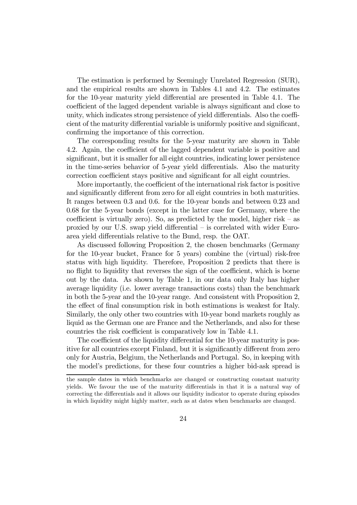The estimation is performed by Seemingly Unrelated Regression (SUR), and the empirical results are shown in Tables 4.1 and 4.2. The estimates for the 10-year maturity yield differential are presented in Table 4.1. The coefficient of the lagged dependent variable is always significant and close to unity, which indicates strong persistence of yield differentials. Also the coefficient of the maturity differential variable is uniformly positive and significant, confirming the importance of this correction.

The corresponding results for the 5-year maturity are shown in Table 4.2. Again, the coefficient of the lagged dependent variable is positive and significant, but it is smaller for all eight countries, indicating lower persistence in the time-series behavior of 5-year yield differentials. Also the maturity correction coefficient stays positive and significant for all eight countries.

More importantly, the coefficient of the international risk factor is positive and significantly different from zero for all eight countries in both maturities. It ranges between 0.3 and 0.6. for the 10-year bonds and between 0.23 and 0.68 for the 5-year bonds (except in the latter case for Germany, where the coefficient is virtually zero). So, as predicted by the model, higher risk  $-$  as proxied by our U.S. swap yield differential — is correlated with wider Euroarea yield differentials relative to the Bund, resp. the OAT.

As discussed following Proposition 2, the chosen benchmarks (Germany for the 10-year bucket, France for 5 years) combine the (virtual) risk-free status with high liquidity. Therefore, Proposition 2 predicts that there is no flight to liquidity that reverses the sign of the coefficient, which is borne out by the data. As shown by Table 1, in our data only Italy has higher average liquidity (i.e. lower average transactions costs) than the benchmark in both the 5-year and the 10-year range. And consistent with Proposition 2, the effect of final consumption risk in both estimations is weakest for Italy. Similarly, the only other two countries with 10-year bond markets roughly as liquid as the German one are France and the Netherlands, and also for these countries the risk coefficient is comparatively low in Table 4.1.

The coefficient of the liquidity differential for the 10-year maturity is positive for all countries except Finland, but it is significantly different from zero only for Austria, Belgium, the Netherlands and Portugal. So, in keeping with the model's predictions, for these four countries a higher bid-ask spread is

the sample dates in which benchmarks are changed or constructing constant maturity yields. We favour the use of the maturity differentials in that it is a natural way of correcting the differentials and it allows our liquidity indicator to operate during episodes in which liquidity might highly matter, such as at dates when benchmarks are changed.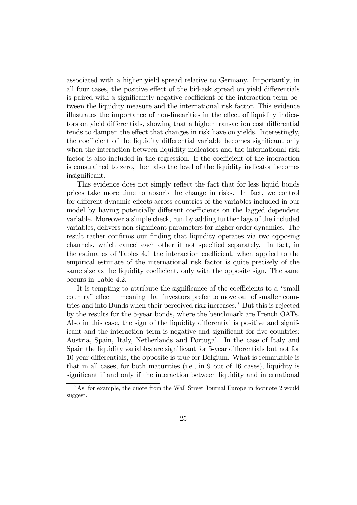associated with a higher yield spread relative to Germany. Importantly, in all four cases, the positive effect of the bid-ask spread on yield differentials is paired with a significantly negative coefficient of the interaction term between the liquidity measure and the international risk factor. This evidence illustrates the importance of non-linearities in the effect of liquidity indicators on yield differentials, showing that a higher transaction cost differential tends to dampen the effect that changes in risk have on yields. Interestingly, the coefficient of the liquidity differential variable becomes significant only when the interaction between liquidity indicators and the international risk factor is also included in the regression. If the coefficient of the interaction is constrained to zero, then also the level of the liquidity indicator becomes insignificant.

This evidence does not simply reflect the fact that for less liquid bonds prices take more time to absorb the change in risks. In fact, we control for different dynamic effects across countries of the variables included in our model by having potentially different coefficients on the lagged dependent variable. Moreover a simple check, run by adding further lags of the included variables, delivers non-significant parameters for higher order dynamics. The result rather confirms our finding that liquidity operates via two opposing channels, which cancel each other if not specified separately. In fact, in the estimates of Tables 4.1 the interaction coefficient, when applied to the empirical estimate of the international risk factor is quite precisely of the same size as the liquidity coefficient, only with the opposite sign. The same occurs in Table 4.2.

It is tempting to attribute the significance of the coefficients to a "small country" effect — meaning that investors prefer to move out of smaller countries and into Bunds when their perceived risk increases.9 But this is rejected by the results for the 5-year bonds, where the benchmark are French OATs. Also in this case, the sign of the liquidity differential is positive and significant and the interaction term is negative and significant for five countries: Austria, Spain, Italy, Netherlands and Portugal. In the case of Italy and Spain the liquidity variables are significant for 5-year differentials but not for 10-year differentials, the opposite is true for Belgium. What is remarkable is that in all cases, for both maturities (i.e., in 9 out of 16 cases), liquidity is significant if and only if the interaction between liquidity and international

<sup>9</sup>As, for example, the quote from the Wall Street Journal Europe in footnote 2 would suggest.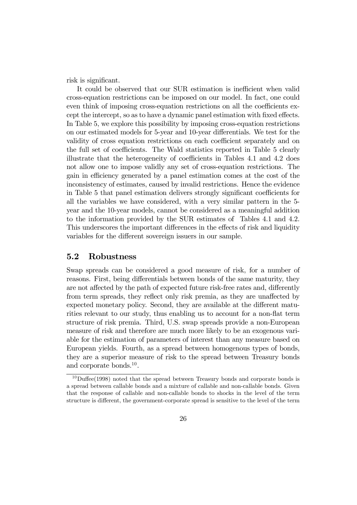risk is significant.

It could be observed that our SUR estimation is inefficient when valid cross-equation restrictions can be imposed on our model. In fact, one could even think of imposing cross-equation restrictions on all the coefficients except the intercept, so as to have a dynamic panel estimation with fixed effects. In Table 5, we explore this possibility by imposing cross-equation restrictions on our estimated models for 5-year and 10-year differentials. We test for the validity of cross equation restrictions on each coefficient separately and on the full set of coefficients. The Wald statistics reported in Table 5 clearly illustrate that the heterogeneity of coefficients in Tables 4.1 and 4.2 does not allow one to impose validly any set of cross-equation restrictions. The gain in efficiency generated by a panel estimation comes at the cost of the inconsistency of estimates, caused by invalid restrictions. Hence the evidence in Table 5 that panel estimation delivers strongly significant coefficients for all the variables we have considered, with a very similar pattern in the 5 year and the 10-year models, cannot be considered as a meaningful addition to the information provided by the SUR estimates of Tables 4.1 and 4.2. This underscores the important differences in the effects of risk and liquidity variables for the different sovereign issuers in our sample.

#### 5.2 Robustness

Swap spreads can be considered a good measure of risk, for a number of reasons. First, being differentials between bonds of the same maturity, they are not affected by the path of expected future risk-free rates and, differently from term spreads, they reflect only risk premia, as they are unaffected by expected monetary policy. Second, they are available at the different maturities relevant to our study, thus enabling us to account for a non-flat term structure of risk premia. Third, U.S. swap spreads provide a non-European measure of risk and therefore are much more likely to be an exogenous variable for the estimation of parameters of interest than any measure based on European yields. Fourth, as a spread between homogenous types of bonds, they are a superior measure of risk to the spread between Treasury bonds and corporate bonds.10.

 $10$ Duffee(1998) noted that the spread between Treasury bonds and corporate bonds is a spread between callable bonds and a mixture of callable and non-callable bonds. Given that the response of callable and non-callable bonds to shocks in the level of the term structure is different, the government-corporate spread is sensitive to the level of the term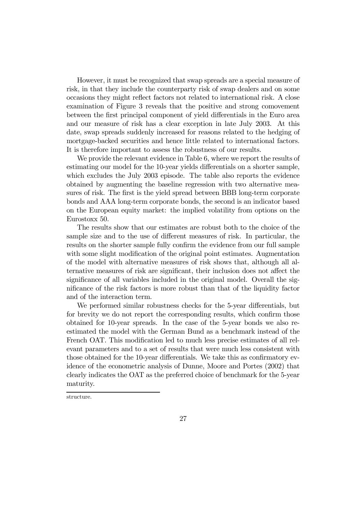However, it must be recognized that swap spreads are a special measure of risk, in that they include the counterparty risk of swap dealers and on some occasions they might reflect factors not related to international risk. A close examination of Figure 3 reveals that the positive and strong comovement between the first principal component of yield differentials in the Euro area and our measure of risk has a clear exception in late July 2003. At this date, swap spreads suddenly increased for reasons related to the hedging of mortgage-backed securities and hence little related to international factors. It is therefore important to assess the robustness of our results.

We provide the relevant evidence in Table 6, where we report the results of estimating our model for the 10-year yields differentials on a shorter sample, which excludes the July 2003 episode. The table also reports the evidence obtained by augmenting the baseline regression with two alternative measures of risk. The first is the yield spread between BBB long-term corporate bonds and AAA long-term corporate bonds, the second is an indicator based on the European equity market: the implied volatility from options on the Eurostoxx 50.

The results show that our estimates are robust both to the choice of the sample size and to the use of different measures of risk. In particular, the results on the shorter sample fully confirm the evidence from our full sample with some slight modification of the original point estimates. Augmentation of the model with alternative measures of risk shows that, although all alternative measures of risk are significant, their inclusion does not affect the significance of all variables included in the original model. Overall the significance of the risk factors is more robust than that of the liquidity factor and of the interaction term.

We performed similar robustness checks for the 5-year differentials, but for brevity we do not report the corresponding results, which confirm those obtained for 10-year spreads. In the case of the 5-year bonds we also reestimated the model with the German Bund as a benchmark instead of the French OAT. This modification led to much less precise estimates of all relevant parameters and to a set of results that were much less consistent with those obtained for the 10-year differentials. We take this as confirmatory evidence of the econometric analysis of Dunne, Moore and Portes (2002) that clearly indicates the OAT as the preferred choice of benchmark for the 5-year maturity.

structure.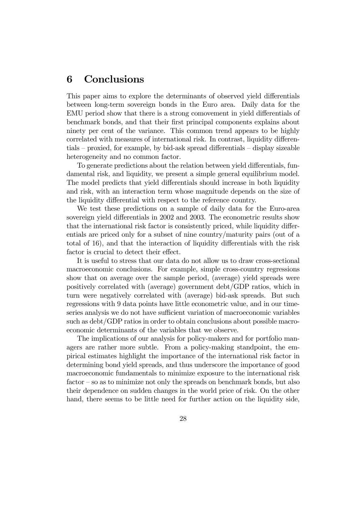# 6 Conclusions

This paper aims to explore the determinants of observed yield differentials between long-term sovereign bonds in the Euro area. Daily data for the EMU period show that there is a strong comovement in yield differentials of benchmark bonds, and that their first principal components explains about ninety per cent of the variance. This common trend appears to be highly correlated with measures of international risk. In contrast, liquidity differentials — proxied, for example, by bid-ask spread differentials — display sizeable heterogeneity and no common factor.

To generate predictions about the relation between yield differentials, fundamental risk, and liquidity, we present a simple general equilibrium model. The model predicts that yield differentials should increase in both liquidity and risk, with an interaction term whose magnitude depends on the size of the liquidity differential with respect to the reference country.

We test these predictions on a sample of daily data for the Euro-area sovereign yield differentials in 2002 and 2003. The econometric results show that the international risk factor is consistently priced, while liquidity differentials are priced only for a subset of nine country/maturity pairs (out of a total of 16), and that the interaction of liquidity differentials with the risk factor is crucial to detect their effect.

It is useful to stress that our data do not allow us to draw cross-sectional macroeconomic conclusions. For example, simple cross-country regressions show that on average over the sample period, (average) yield spreads were positively correlated with (average) government debt/GDP ratios, which in turn were negatively correlated with (average) bid-ask spreads. But such regressions with 9 data points have little econometric value, and in our timeseries analysis we do not have sufficient variation of macroeconomic variables such as debt/GDP ratios in order to obtain conclusions about possible macroeconomic determinants of the variables that we observe.

The implications of our analysis for policy-makers and for portfolio managers are rather more subtle. From a policy-making standpoint, the empirical estimates highlight the importance of the international risk factor in determining bond yield spreads, and thus underscore the importance of good macroeconomic fundamentals to minimize exposure to the international risk factor — so as to minimize not only the spreads on benchmark bonds, but also their dependence on sudden changes in the world price of risk. On the other hand, there seems to be little need for further action on the liquidity side,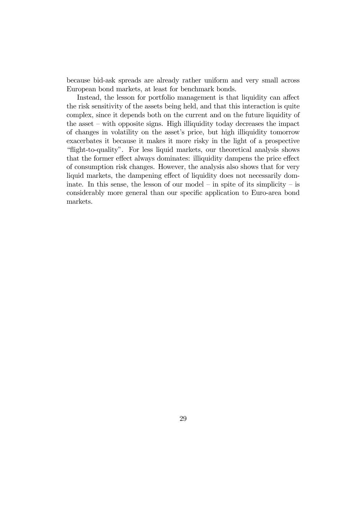because bid-ask spreads are already rather uniform and very small across European bond markets, at least for benchmark bonds.

Instead, the lesson for portfolio management is that liquidity can affect the risk sensitivity of the assets being held, and that this interaction is quite complex, since it depends both on the current and on the future liquidity of the asset — with opposite signs. High illiquidity today decreases the impact of changes in volatility on the asset's price, but high illiquidity tomorrow exacerbates it because it makes it more risky in the light of a prospective "flight-to-quality". For less liquid markets, our theoretical analysis shows that the former effect always dominates: illiquidity dampens the price effect of consumption risk changes. However, the analysis also shows that for very liquid markets, the dampening effect of liquidity does not necessarily dominate. In this sense, the lesson of our model – in spite of its simplicity – is considerably more general than our specific application to Euro-area bond markets.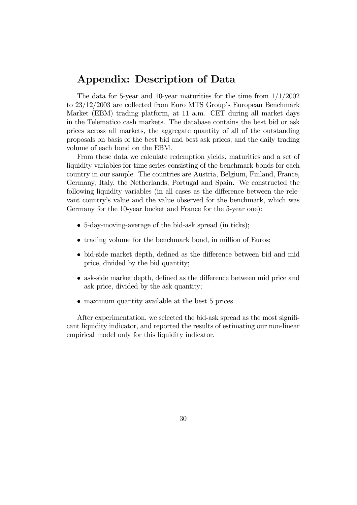### Appendix: Description of Data

The data for 5-year and 10-year maturities for the time from  $1/1/2002$ to 23/12/2003 are collected from Euro MTS Group's European Benchmark Market (EBM) trading platform, at 11 a.m. CET during all market days in the Telematico cash markets. The database contains the best bid or ask prices across all markets, the aggregate quantity of all of the outstanding proposals on basis of the best bid and best ask prices, and the daily trading volume of each bond on the EBM.

From these data we calculate redemption yields, maturities and a set of liquidity variables for time series consisting of the benchmark bonds for each country in our sample. The countries are Austria, Belgium, Finland, France, Germany, Italy, the Netherlands, Portugal and Spain. We constructed the following liquidity variables (in all cases as the difference between the relevant country's value and the value observed for the benchmark, which was Germany for the 10-year bucket and France for the 5-year one):

- 5-day-moving-average of the bid-ask spread (in ticks);
- trading volume for the benchmark bond, in million of Euros:
- bid-side market depth, defined as the difference between bid and mid price, divided by the bid quantity;
- ask-side market depth, defined as the difference between mid price and ask price, divided by the ask quantity;
- maximum quantity available at the best 5 prices.

After experimentation, we selected the bid-ask spread as the most significant liquidity indicator, and reported the results of estimating our non-linear empirical model only for this liquidity indicator.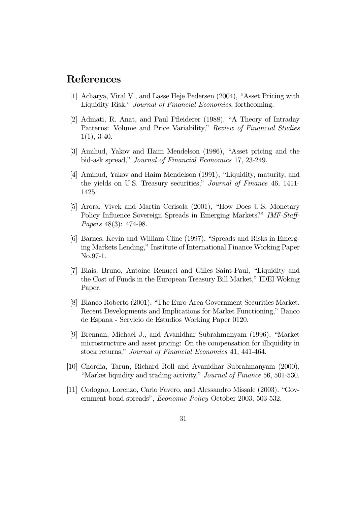# References

- [1] Acharya, Viral V., and Lasse Heje Pedersen (2004), "Asset Pricing with Liquidity Risk," Journal of Financial Economics, forthcoming.
- [2] Admati, R. Anat, and Paul Pfleiderer (1988), "A Theory of Intraday Patterns: Volume and Price Variability," Review of Financial Studies  $1(1), 3-40.$
- [3] Amihud, Yakov and Haim Mendelson (1986), "Asset pricing and the bid-ask spread," Journal of Financial Economics 17, 23-249.
- [4] Amihud, Yakov and Haim Mendelson (1991), "Liquidity, maturity, and the yields on U.S. Treasury securities," Journal of Finance 46, 1411- 1425.
- [5] Arora, Vivek and Martin Cerisola (2001), "How Does U.S. Monetary Policy Influence Sovereign Spreads in Emerging Markets?" IMF-Staff-Papers 48(3): 474-98.
- [6] Barnes, Kevin and William Cline (1997), "Spreads and Risks in Emerging Markets Lending," Institute of International Finance Working Paper No.97-1.
- [7] Biais, Bruno, Antoine Renucci and Gilles Saint-Paul, "Liquidity and the Cost of Funds in the European Treasury Bill Market," IDEI Woking Paper.
- [8] Blanco Roberto (2001), "The Euro-Area Government Securities Market. Recent Developments and Implications for Market Functioning," Banco de Espana - Servicio de Estudios Working Paper 0120.
- [9] Brennan, Michael J., and Avanidhar Subrahmanyam (1996), "Market microstructure and asset pricing: On the compensation for illiquidity in stock returns," Journal of Financial Economics 41, 441-464.
- [10] Chordia, Tarun, Richard Roll and Avanidhar Subrahmanyam (2000), "Market liquidity and trading activity," Journal of Finance 56, 501-530.
- [11] Codogno, Lorenzo, Carlo Favero, and Alessandro Missale (2003). "Government bond spreads", Economic Policy October 2003, 503-532.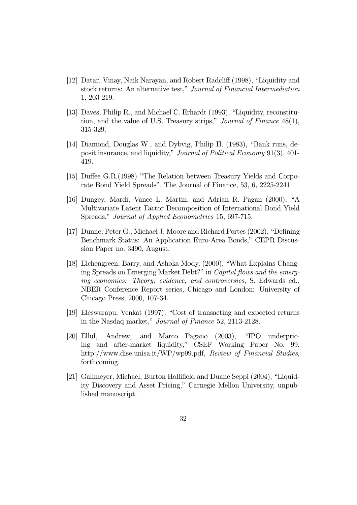- [12] Datar, Vinay, Naik Narayan, and Robert Radcliff (1998), "Liquidity and stock returns: An alternative test," Journal of Financial Intermediation 1, 203-219.
- [13] Daves, Philip R., and Michael C. Erhardt (1993), "Liquidity, reconstitution, and the value of U.S. Treasury strips," Journal of Finance 48(1), 315-329.
- [14] Diamond, Douglas W., and Dybvig, Philip H. (1983), "Bank runs, deposit insurance, and liquidity," Journal of Political Economy 91(3), 401- 419.
- [15] Duffee G.R.(1998) "The Relation between Treasury Yields and Corporate Bond Yield Spreads", The Journal of Finance, 53, 6, 2225-2241
- [16] Dungey, Mardi, Vance L. Martin, and Adrian R. Pagan (2000), "A Multivariate Latent Factor Decomposition of International Bond Yield Spreads," Journal of Applied Econometrics 15, 697-715.
- [17] Dunne, Peter G., Michael J. Moore and Richard Portes (2002), "Defining Benchmark Status: An Application Euro-Area Bonds," CEPR Discussion Paper no. 3490, August.
- [18] Eichengreen, Barry, and Ashoka Mody, (2000), "What Explains Changing Spreads on Emerging Market Debt?" in Capital flows and the emerging economies: Theory, evidence, and controversies, S. Edwards ed., NBER Conference Report series, Chicago and London: University of Chicago Press, 2000, 107-34.
- [19] Eleswarapu, Venkat (1997), "Cost of transacting and expected returns in the Nasdaq market," Journal of Finance 52, 2113-2128.
- [20] Ellul, Andrew, and Marco Pagano (2003), "IPO underpricing and after-market liquidity," CSEF Working Paper No. 99, http://www.dise.unisa.it/WP/wp99.pdf, Review of Financial Studies, forthcoming.
- [21] Gallmeyer, Michael, Burton Hollifield and Duane Seppi (2004), "Liquidity Discovery and Asset Pricing," Carnegie Mellon University, unpublished manuscript.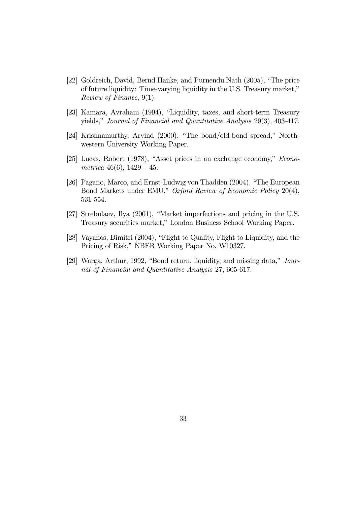- [22] Goldreich, David, Bernd Hanke, and Purnendu Nath (2005), "The price of future liquidity: Time-varying liquidity in the U.S. Treasury market," Review of Finance, 9(1).
- [23] Kamara, Avraham (1994), "Liquidity, taxes, and short-term Treasury yields," Journal of Financial and Quantitative Analysis 29(3), 403-417.
- [24] Krishnamurthy, Arvind (2000), "The bond/old-bond spread," Northwestern University Working Paper.
- [25] Lucas, Robert (1978), "Asset prices in an exchange economy," Econometrica  $46(6)$ ,  $1429 - 45$ .
- [26] Pagano, Marco, and Ernst-Ludwig von Thadden (2004), "The European Bond Markets under EMU," Oxford Review of Economic Policy 20(4), 531-554.
- [27] Strebulaev, Ilya (2001), "Market imperfections and pricing in the U.S. Treasury securities market," London Business School Working Paper.
- [28] Vayanos, Dimitri (2004), "Flight to Quality, Flight to Liquidity, and the Pricing of Risk," NBER Working Paper No. W10327.
- [29] Warga, Arthur, 1992, "Bond return, liquidity, and missing data," Journal of Financial and Quantitative Analysis 27, 605-617.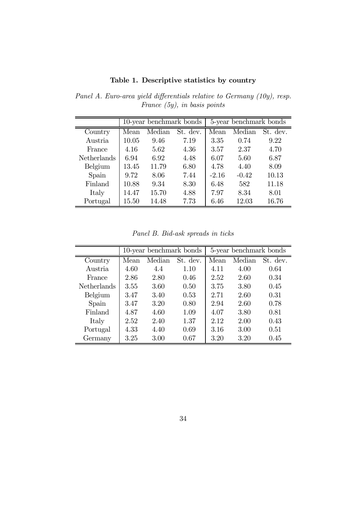Table 1. Descriptive statistics by country

 $10$ -year benchmark bonds  $\vert$  5-year benchmark bonds Country | Mean Median St. dev. | Mean Median St. dev. Austria | 10.05 9.46 7.19 | 3.35 0.74 9.22 France  $\begin{array}{|l} 4.16 \quad 5.62 \quad 4.36 \quad | \quad 3.57 \quad 2.37 \quad 4.70 \end{array}$ Netherlands 6.94 6.92 4.48 6.07 5.60 6.87 Belgium | 13.45 11.79 6.80 | 4.78 4.40 8.09 Spain | 9.72 8.06 7.44 | -2.16 -0.42 10.13 Finland 10.88 9.34 8.30 6.48 582 11.18

Panel A. Euro-area yield differentials relative to Germany (10y), resp. France (5y), in basis points

Panel B. Bid-ask spreads in ticks

Italy 14.47 15.70 4.88 7.97 8.34 8.01 Portugal 15.50 14.48 7.73 6.46 12.03 16.76

|                    |      | 10-year benchmark bonds |          |      | 5-year benchmark bonds |          |
|--------------------|------|-------------------------|----------|------|------------------------|----------|
| Country            | Mean | Median                  | St. dev. | Mean | Median                 | St. dev. |
| Austria            | 4.60 | 4.4                     | 1.10     | 4.11 | 4.00                   | 0.64     |
| France             | 2.86 | 2.80                    | 0.46     | 2.52 | 2.60                   | 0.34     |
| <b>Netherlands</b> | 3.55 | 3.60                    | 0.50     | 3.75 | 3.80                   | 0.45     |
| Belgium            | 3.47 | 3.40                    | 0.53     | 2.71 | 2.60                   | 0.31     |
| Spain              | 3.47 | 3.20                    | 0.80     | 2.94 | 2.60                   | 0.78     |
| Finland            | 4.87 | 4.60                    | 1.09     | 4.07 | 3.80                   | 0.81     |
| Italy              | 2.52 | 2.40                    | 1.37     | 2.12 | 2.00                   | 0.43     |
| Portugal           | 4.33 | 4.40                    | 0.69     | 3.16 | 3.00                   | 0.51     |
| Germany            | 3.25 | 3.00                    | 0.67     | 3.20 | 3.20                   | 0.45     |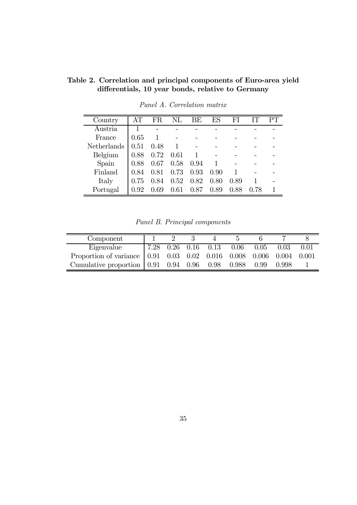| Country            | AТ   | FR   | $\rm NL$ | BE   | ES   | FI   | TТ   | PТ |
|--------------------|------|------|----------|------|------|------|------|----|
| Austria            |      |      |          |      |      |      |      |    |
| France             | 0.65 |      |          |      |      |      |      |    |
| <b>Netherlands</b> | 0.51 | 0.48 | 1        |      |      |      |      |    |
| Belgium            | 0.88 | 0.72 | 0.61     |      |      |      |      |    |
| Spain              | 0.88 | 0.67 | 0.58     | 0.94 |      |      |      |    |
| Finland            | 0.84 | 0.81 | 0.73     | 0.93 | 0.90 |      |      |    |
| Italy              | 0.75 | 0.84 | 0.52     | 0.82 | 0.80 | 0.89 |      |    |
| Portugal           | 0.92 | 0.69 | 0.61     | 0.87 | 0.89 | 0.88 | 0.78 |    |

differentials, 10 year bonds, relative to Germany Panel A. Correlation matrix

Table 2. Correlation and principal components of Euro-area yield

Panel B. Principal components

| Component                                                                   |  |  |                          |      |       |      |
|-----------------------------------------------------------------------------|--|--|--------------------------|------|-------|------|
| Eigenvalue                                                                  |  |  | 7.28 0.26 0.16 0.13 0.06 | 0.05 | 0.03  | 0.01 |
| Proportion of variance   0.91 0.03 0.02 0.016 0.008 0.006 0.004 0.001       |  |  |                          |      |       |      |
| Cumulative proportion $(0.91 \quad 0.94 \quad 0.96 \quad 0.98 \quad 0.988)$ |  |  |                          | 0.99 | 0.998 |      |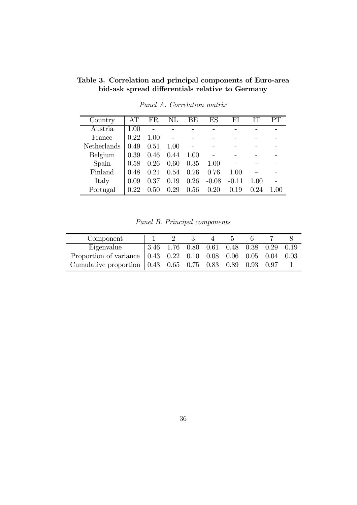| Country            | AТ       | FR   | $\rm NL$ | ΒE   | ES      | FI      | TТ   | PТ           |
|--------------------|----------|------|----------|------|---------|---------|------|--------------|
| Austria            | 1.00     |      |          |      |         |         |      |              |
| France             | 0.22     | 1.00 |          |      |         |         |      |              |
| <b>Netherlands</b> | 0.49     | 0.51 | 1.00     |      |         |         |      |              |
| Belgium            | 0.39     | 0.46 | 0.44     | 1.00 |         |         |      |              |
| Spain              | 0.58     | 0.26 | 0.60     | 0.35 | 1.00    |         |      |              |
| Finland            | 0.48     | 0.21 | 0.54     | 0.26 | 0.76    | 1.00    |      |              |
| Italy              | 0.09     | 0.37 | 0.19     | 0.26 | $-0.08$ | $-0.11$ | 1.00 |              |
| Portugal           | $0.22\,$ | 0.50 | 0.29     | 0.56 | 0.20    | 0.19    | 0.24 | $($ $)($ $)$ |

Table 3. Correlation and principal components of Euro-area bid-ask spread differentials relative to Germany

Panel A. Correlation matrix

Panel B. Principal components

| Component                                                                                                            |  |  |  |  |
|----------------------------------------------------------------------------------------------------------------------|--|--|--|--|
|                                                                                                                      |  |  |  |  |
| Eigenvalue 3.46 1.76 0.80 0.61 0.48 0.38 0.29 0.19<br>Proportion of variance 0.43 0.22 0.10 0.08 0.06 0.05 0.04 0.03 |  |  |  |  |
| Cumulative proportion $\begin{array}{ ccc } 0.43 & 0.65 & 0.75 & 0.83 & 0.89 & 0.93 & 0.97 \end{array}$              |  |  |  |  |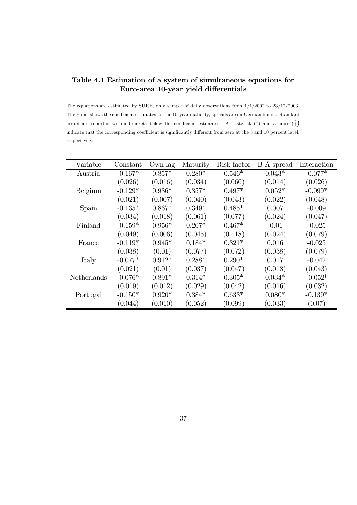#### Table 4.1 Estimation of a system of simultaneous equations for Euro-area 10-year yield differentials

The equations are estimated by SURE, on a sample of daily observations from  $1/1/2002$  to  $23/12/2003$ . The Panel shows the coefficient estimates for the 10-year maturity, spreads are on German bonds. Standard errors are reported within brackets below the coefficient estimates. An asterisk  $(*)$  and a cross  $(\dagger)$ indicate that the corresponding coefficient is significantly different from zero at the 5 and 10 percent level, respectively.

| Variable    | Constant  | Own lag  | Maturity | Risk factor | B-A spread | Interaction        |
|-------------|-----------|----------|----------|-------------|------------|--------------------|
| Austria     | $-0.167*$ | $0.857*$ | $0.280*$ | $0.546*$    | $0.043*$   | $-0.077*$          |
|             | (0.026)   | (0.016)  | (0.034)  | (0.060)     | (0.014)    | (0.026)            |
| Belgium     | $-0.129*$ | $0.936*$ | $0.357*$ | $0.497*$    | $0.052*$   | $-0.099*$          |
|             | (0.021)   | (0.007)  | (0.040)  | (0.043)     | (0.022)    | (0.048)            |
| Spain       | $-0.135*$ | $0.867*$ | $0.349*$ | $0.485*$    | 0.007      | $-0.009$           |
|             | (0.034)   | (0.018)  | (0.061)  | (0.077)     | (0.024)    | (0.047)            |
| Finland     | $-0.159*$ | $0.956*$ | $0.207*$ | $0.467*$    | $-0.01$    | $-0.025$           |
|             | (0.049)   | (0.006)  | (0.045)  | (0.118)     | (0.024)    | (0.079)            |
| France      | $-0.119*$ | $0.945*$ | $0.184*$ | $0.321*$    | 0.016      | $-0.025$           |
|             | (0.038)   | (0.01)   | (0.077)  | (0.072)     | (0.038)    | (0.079)            |
| Italy       | $-0.077*$ | $0.912*$ | $0.288*$ | $0.290*$    | 0.017      | $-0.042$           |
|             | (0.021)   | (0.01)   | (0.037)  | (0.047)     | (0.018)    | (0.043)            |
| Netherlands | $-0.076*$ | $0.891*$ | $0.314*$ | $0.305*$    | $0.034*$   | $-0.052^{\dagger}$ |
|             | (0.019)   | (0.012)  | (0.029)  | (0.042)     | (0.016)    | (0.032)            |
| Portugal    | $-0.150*$ | $0.920*$ | $0.384*$ | $0.633*$    | $0.080*$   | $-0.139*$          |
|             | (0.044)   | (0.010)  | (0.052)  | (0.099)     | (0.033)    | (0.07)             |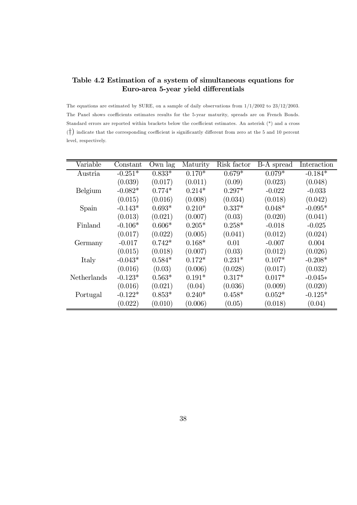#### Table 4.2 Estimation of a system of simultaneous equations for Euro-area 5-year yield differentials

The equations are estimated by SURE, on a sample of daily observations from 1/1/2002 to 23/12/2003. The Panel shows coefficients estimates results for the 5-year maturity, spreads are on French Bonds. Standard errors are reported within brackets below the coefficient estimates. An asterisk (\*) and a cross (†) indicate that the corresponding coefficient is significantly different from zero at the 5 and 10 percent level, respectively.

| Variable    | Constant  | Own lag  | Maturity | Risk factor | B-A spread | Interaction |
|-------------|-----------|----------|----------|-------------|------------|-------------|
| Austria     | $-0.251*$ | $0.833*$ | $0.170*$ | $0.679*$    | $0.079*$   | $-0.184*$   |
|             | (0.039)   | (0.017)  | (0.011)  | (0.09)      | (0.023)    | (0.048)     |
| Belgium     | $-0.082*$ | $0.774*$ | $0.214*$ | $0.297*$    | $-0.022$   | $-0.033$    |
|             | (0.015)   | (0.016)  | (0.008)  | (0.034)     | (0.018)    | (0.042)     |
| Spain       | $-0.143*$ | $0.693*$ | $0.210*$ | $0.337*$    | $0.048*$   | $-0.095*$   |
|             | (0.013)   | (0.021)  | (0.007)  | (0.03)      | (0.020)    | (0.041)     |
| Finland     | $-0.106*$ | $0.606*$ | $0.205*$ | $0.258*$    | $-0.018$   | $-0.025$    |
|             | (0.017)   | (0.022)  | (0.005)  | (0.041)     | (0.012)    | (0.024)     |
| Germany     | $-0.017$  | $0.742*$ | $0.168*$ | 0.01        | $-0.007$   | 0.004       |
|             | (0.015)   | (0.018)  | (0.007)  | (0.03)      | (0.012)    | (0.026)     |
| Italy       | $-0.043*$ | $0.584*$ | $0.172*$ | $0.231*$    | $0.107*$   | $-0.208*$   |
|             | (0.016)   | (0.03)   | (0.006)  | (0.028)     | (0.017)    | (0.032)     |
| Netherlands | $-0.123*$ | $0.563*$ | $0.191*$ | $0.317*$    | $0.017*$   | $-0.045*$   |
|             | (0.016)   | (0.021)  | (0.04)   | (0.036)     | (0.009)    | (0.020)     |
| Portugal    | $-0.122*$ | $0.853*$ | $0.240*$ | $0.458*$    | $0.052*$   | $-0.125*$   |
|             | (0.022)   | (0.010)  | (0.006)  | (0.05)      | (0.018)    | (0.04)      |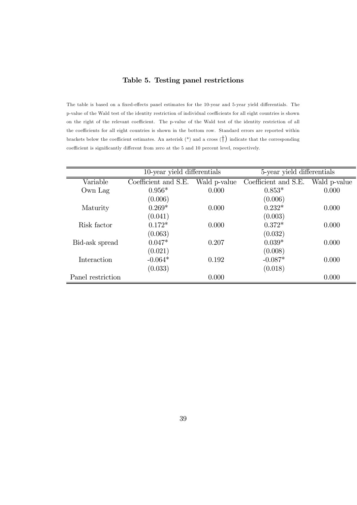#### Table 5. Testing panel restrictions

The table is based on a fixed-effects panel estimates for the 10-year and 5-year yield differentials. The p-value of the Wald test of the identity restriction of individual coefficients for all eight countries is shown on the right of the relevant coefficient. The p-value of the Wald test of the identity restriction of all the coefficients for all eight countries is shown in the bottom row. Standard errors are reported within brackets below the coefficient estimates. An asterisk  $(*)$  and a cross  $(\dagger)$  indicate that the corresponding coefficient is significantly different from zero at the 5 and 10 percent level, respectively.

|                   | 10-year yield differentials |              | 5-year yield differentials |              |
|-------------------|-----------------------------|--------------|----------------------------|--------------|
| Variable          | Coefficient and S.E.        | Wald p-value | Coefficient and S.E.       | Wald p-value |
| Own Lag           | $0.956*$                    | 0.000        | $0.853*$                   | 0.000        |
|                   | (0.006)                     |              | (0.006)                    |              |
| Maturity          | $0.269*$                    | 0.000        | $0.232*$                   | 0.000        |
|                   | (0.041)                     |              | (0.003)                    |              |
| Risk factor       | $0.172*$                    | 0.000        | $0.372*$                   | 0.000        |
|                   | (0.063)                     |              | (0.032)                    |              |
| Bid-ask spread    | $0.047*$                    | 0.207        | $0.039*$                   | 0.000        |
|                   | (0.021)                     |              | (0.008)                    |              |
| Interaction       | $-0.064*$                   | 0.192        | $-0.087*$                  | 0.000        |
|                   | (0.033)                     |              | (0.018)                    |              |
| Panel restriction |                             | 0.000        |                            | 0.000        |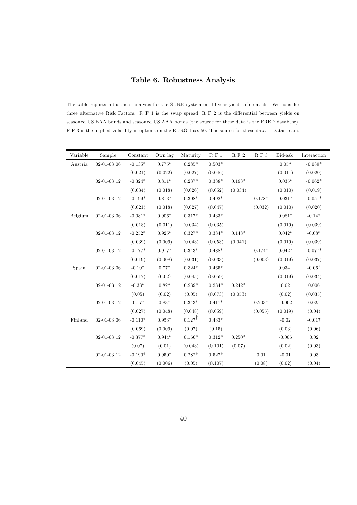#### Table 6. Robustness Analysis

The table reports robustness analysis for the SURE system on 10-year yield differentials. We consider three alternative Risk Factors. R F 1 is the swap spread, R F 2 is the differential between yields on seasoned US BAA bonds and seasoned US AAA bonds (the source for these data is the FRED database), R F 3 is the implied volatility in options on the EUROstoxx 50. The source for these data is Datastream.

| Variable | Sample            | Constant  | Own lag  | Maturity          | $\cal R$ F $1$ | $\mathcal{R}$ F $2$ | $\mathcal{R}$ F $3$ | Bid-ask           | Interaction       |
|----------|-------------------|-----------|----------|-------------------|----------------|---------------------|---------------------|-------------------|-------------------|
| Austria  | $02 - 01 - 03:06$ | $-0.135*$ | $0.775*$ | $0.285*$          | $0.503*$       |                     |                     | $0.05*$           | $-0.089*$         |
|          |                   | (0.021)   | (0.022)  | (0.027)           | (0.046)        |                     |                     | (0.011)           | (0.020)           |
|          | $02 - 01 - 03:12$ | $-0.324*$ | $0.811*$ | $0.237*$          | $0.388*$       | $0.193*$            |                     | $0.035*$          | $-0.062*$         |
|          |                   | (0.034)   | (0.018)  | (0.026)           | (0.052)        | (0.034)             |                     | (0.010)           | (0.019)           |
|          | $02 - 01 - 03:12$ | $-0.199*$ | $0.813*$ | $0.308*$          | $0.492*$       |                     | $0.178*$            | $0.031*$          | $-0.051*$         |
|          |                   | (0.021)   | (0.018)  | (0.027)           | (0.047)        |                     | (0.032)             | (0.010)           | (0.020)           |
| Belgium  | $02 - 01 - 03:06$ | $-0.081*$ | $0.906*$ | $0.317*$          | $0.433*$       |                     |                     | $0.081*$          | $-0.14*$          |
|          |                   | (0.018)   | (0.011)  | (0.034)           | (0.035)        |                     |                     | (0.019)           | (0.039)           |
|          | $02 - 01 - 03:12$ | $-0.252*$ | $0.925*$ | $0.327*$          | $0.384*$       | $0.148*$            |                     | $0.042*$          | $-0.08*$          |
|          |                   | (0.039)   | (0.009)  | (0.043)           | (0.053)        | (0.041)             |                     | (0.019)           | (0.039)           |
|          | $02 - 01 - 03:12$ | $-0.177*$ | $0.917*$ | $0.343*$          | $0.488*$       |                     | $0.174*$            | $0.042*$          | $-0.077*$         |
|          |                   | (0.019)   | (0.008)  | (0.031)           | (0.033)        |                     | (0.003)             | (0.019)           | (0.037)           |
| Spain    | $02 - 01 - 03:06$ | $-0.10*$  | $0.77*$  | $0.324*$          | $0.465*$       |                     |                     | $0.034^{\dagger}$ | $-0.06^{\dagger}$ |
|          |                   | (0.017)   | (0.02)   | (0.045)           | (0.059)        |                     |                     | (0.019)           | (0.034)           |
|          | $02 - 01 - 03:12$ | $-0.33*$  | $0.82*$  | $0.239*$          | $0.284*$       | $0.242*$            |                     | 0.02              | 0.006             |
|          |                   | (0.05)    | (0.02)   | (0.05)            | (0.073)        | (0.053)             |                     | (0.02)            | (0.035)           |
|          | $02 - 01 - 03:12$ | $-0.17*$  | $0.83*$  | $0.343*$          | $0.417*$       |                     | $0.203*$            | $-0.002$          | 0.025             |
|          |                   | (0.027)   | (0.048)  | (0.048)           | (0.059)        |                     | (0.055)             | (0.019)           | (0.04)            |
| Finland  | $02 - 01 - 03:06$ | $-0.110*$ | $0.953*$ | $0.127^{\dagger}$ | $0.433*$       |                     |                     | $-0.02$           | $-0.017$          |
|          |                   | (0.069)   | (0.009)  | (0.07)            | (0.15)         |                     |                     | (0.03)            | (0.06)            |
|          | $02 - 01 - 03:12$ | $-0.377*$ | $0.944*$ | $0.166*$          | $0.312*$       | $0.250*$            |                     | $-0.006$          | $0.02\,$          |
|          |                   | (0.07)    | (0.01)   | (0.043)           | (0.101)        | (0.07)              |                     | (0.02)            | (0.03)            |
|          | $02 - 01 - 03:12$ | $-0.190*$ | $0.950*$ | $0.282*$          | $0.527*$       |                     | $0.01\,$            | $-0.01$           | 0.03              |
|          |                   | (0.045)   | (0.006)  | (0.05)            | (0.107)        |                     | (0.08)              | (0.02)            | (0.04)            |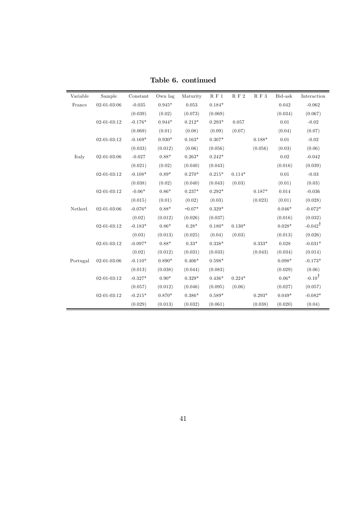| Variable | Sample            | Constant  | Own lag  | Maturity    | $\cal R$ F $1$ | $\mathcal{R}$ F $2$ | $\mathcal{R}$ F $3$ | Bid-ask     | Interaction        |
|----------|-------------------|-----------|----------|-------------|----------------|---------------------|---------------------|-------------|--------------------|
| France   | $02 - 01 - 03:06$ | $-0.035$  | $0.945*$ | $\,0.053\,$ | $0.184*$       |                     |                     | $\,0.042\,$ | $-0.062$           |
|          |                   | (0.039)   | (0.02)   | (0.073)     | (0.069)        |                     |                     | (0.034)     | (0.067)            |
|          | $02 - 01 - 03:12$ | $-0.176*$ | $0.944*$ | $0.212*$    | $0.293*$       | 0.057               |                     | $0.01\,$    | $-0.02$            |
|          |                   | (0.069)   | (0.01)   | (0.08)      | (0.09)         | (0.07)              |                     | (0.04)      | (0.07)             |
|          | $02 - 01 - 03:12$ | $-0.169*$ | $0.930*$ | $0.163*$    | $0.307*$       |                     | $0.188*$            | 0.01        | $-0.02$            |
|          |                   | (0.033)   | (0.012)  | (0.06)      | (0.056)        |                     | (0.056)             | (0.03)      | (0.06)             |
| Italy    | $02 - 01 - 03:06$ | $-0.027$  | $0.88*$  | $0.263*$    | $0.242*$       |                     |                     | 0.02        | $-0.042$           |
|          |                   | (0.021)   | (0.02)   | (0.040)     | (0.043)        |                     |                     | (0.016)     | (0.039)            |
|          | $02 - 01 - 03:12$ | $-0.108*$ | $0.89*$  | $0.270*$    | $0.215*$       | $0.114*$            |                     | $0.01\,$    | $-0.03$            |
|          |                   | (0.038)   | (0.02)   | (0.040)     | (0.043)        | (0.03)              |                     | (0.01)      | (0.03)             |
|          | $02 - 01 - 03:12$ | $-0.06*$  | $0.86*$  | $0.237*$    | $0.292*$       |                     | $0.187*$            | 0.014       | $-0.036$           |
|          |                   | (0.015)   | (0.01)   | (0.02)      | (0.03)         |                     | (0.023)             | (0.01)      | (0.028)            |
| Netherl. | $02 - 01 - 03:06$ | $-0.076*$ | $0.88*$  | $-0.07*$    | $0.329*$       |                     |                     | $0.046*$    | $-0.072*$          |
|          |                   | (0.02)    | (0.012)  | (0.026)     | (0.037)        |                     |                     | (0.016)     | (0.032)            |
|          | $02 - 01 - 03:12$ | $-0.183*$ | $0.86*$  | $0.28*$     | $0.180*$       | $0.130*$            |                     | $0.028*$    | $-0.042^{\dagger}$ |
|          |                   | (0.03)    | (0.013)  | (0.025)     | (0.04)         | (0.03)              |                     | (0.013)     | (0.026)            |
|          | $02 - 01 - 03:12$ | $-0.097*$ | $0.88*$  | $0.33*$     | $0.338*$       |                     | $0.333*$            | 0.028       | $-0.031*$          |
|          |                   | (0.02)    | (0.012)  | (0.031)     | (0.033)        |                     | (0.043)             | (0.034)     | (0.014)            |
| Portugal | $02 - 01 - 03:06$ | $-0.110*$ | $0.890*$ | $0.406*$    | $0.598*$       |                     |                     | $0.098*$    | $-0.173*$          |
|          |                   | (0.013)   | (0.038)  | (0.044)     | (0.083)        |                     |                     | (0.029)     | (0.06)             |
|          | $02 - 01 - 03:12$ | $-0.327*$ | $0.90*$  | $0.329*$    | $0.436*$       | $0.224*$            |                     | $0.06*$     | $-0.10^{\dagger}$  |
|          |                   | (0.057)   | (0.012)  | (0.046)     | (0.095)        | (0.06)              |                     | (0.027)     | (0.057)            |
|          | $02 - 01 - 03:12$ | $-0.215*$ | $0.870*$ | $0.386*$    | $0.589*$       |                     | $0.293*$            | $0.049*$    | $-0.082*$          |
|          |                   | (0.029)   | (0.013)  | (0.032)     | (0.061)        |                     | (0.038)             | (0.020)     | (0.04)             |

Table 6. continued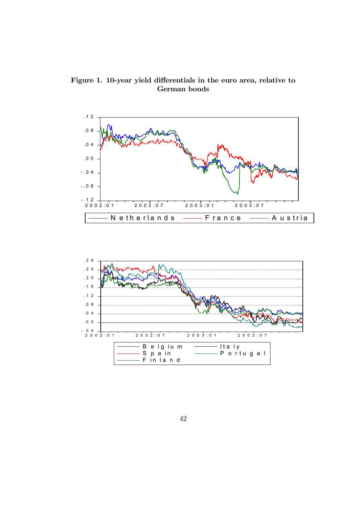Figure 1. 10-year yield differentials in the euro area, relative to German bonds

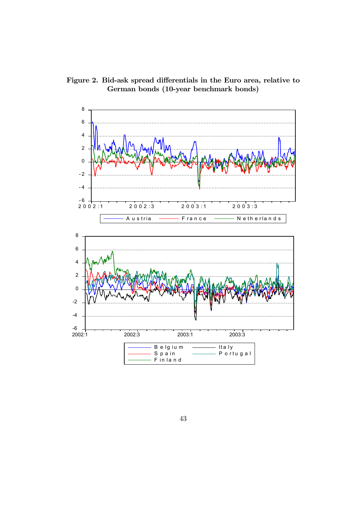